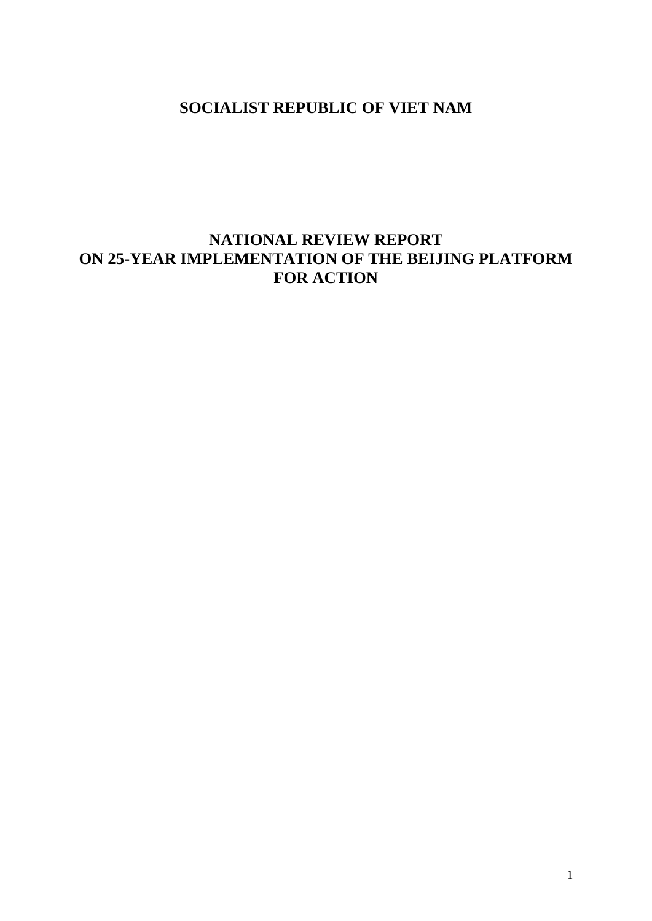# **SOCIALIST REPUBLIC OF VIET NAM**

# **NATIONAL REVIEW REPORT ON 25-YEAR IMPLEMENTATION OF THE BEIJING PLATFORM FOR ACTION**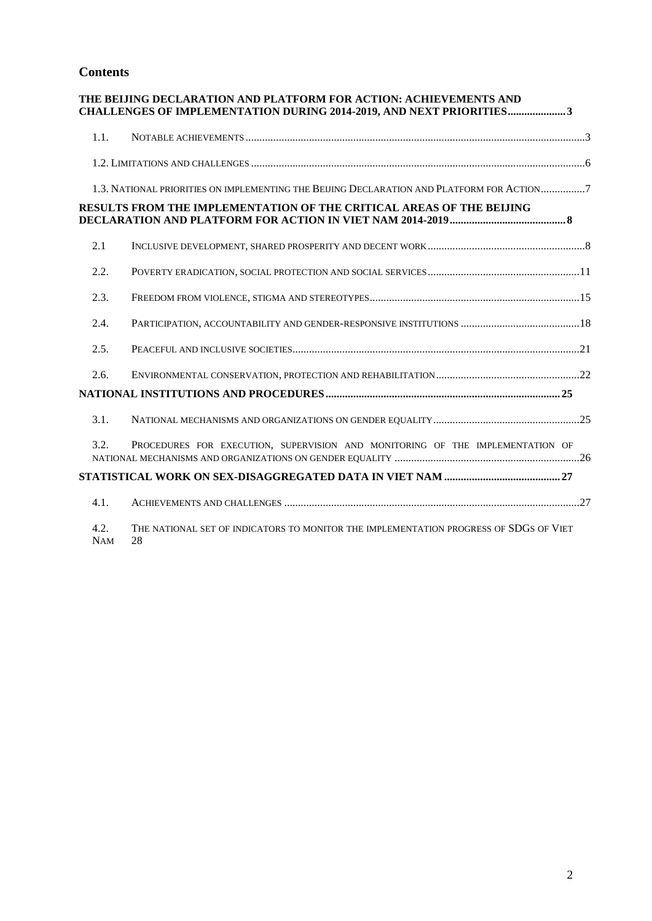# **Contents**

| THE BEIJING DECLARATION AND PLATFORM FOR ACTION: ACHIEVEMENTS AND<br><b>CHALLENGES OF IMPLEMENTATION DURING 2014-2019, AND NEXT PRIORITIES3</b> |                                                                                             |
|-------------------------------------------------------------------------------------------------------------------------------------------------|---------------------------------------------------------------------------------------------|
| 1.1.                                                                                                                                            |                                                                                             |
|                                                                                                                                                 |                                                                                             |
|                                                                                                                                                 | 1.3. NATIONAL PRIORITIES ON IMPLEMENTING THE BEIJING DECLARATION AND PLATFORM FOR ACTION7   |
|                                                                                                                                                 | RESULTS FROM THE IMPLEMENTATION OF THE CRITICAL AREAS OF THE BELJING                        |
| 2.1                                                                                                                                             |                                                                                             |
| 2.2.                                                                                                                                            |                                                                                             |
| 2.3.                                                                                                                                            |                                                                                             |
| 2.4.                                                                                                                                            |                                                                                             |
| 2.5.                                                                                                                                            |                                                                                             |
| 2.6.                                                                                                                                            |                                                                                             |
|                                                                                                                                                 |                                                                                             |
| 3.1.                                                                                                                                            |                                                                                             |
| 3.2.                                                                                                                                            | PROCEDURES FOR EXECUTION, SUPERVISION AND MONITORING OF THE IMPLEMENTATION OF               |
|                                                                                                                                                 |                                                                                             |
| 4.1.                                                                                                                                            |                                                                                             |
| 4.2.<br><b>NAM</b>                                                                                                                              | THE NATIONAL SET OF INDICATORS TO MONITOR THE IMPLEMENTATION PROGRESS OF SDGS OF VIET<br>28 |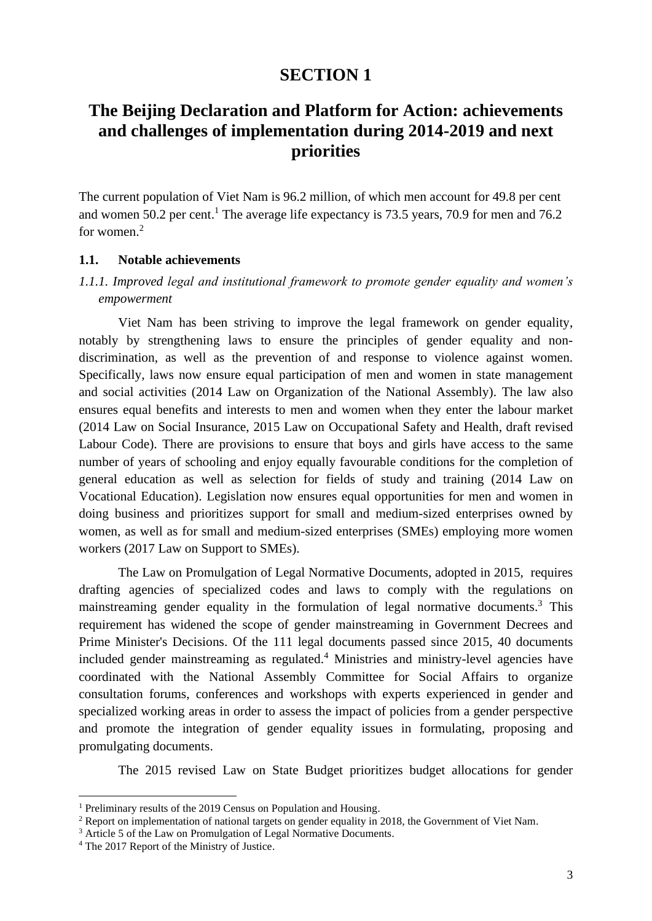# **SECTION 1**

# <span id="page-2-0"></span>**The Beijing Declaration and Platform for Action: achievements and challenges of implementation during 2014-2019 and next priorities**

The current population of Viet Nam is 96.2 million, of which men account for 49.8 per cent and women 50.2 per cent. <sup>1</sup> The average life expectancy is 73.5 years, 70.9 for men and 76.2 for women.<sup>2</sup>

### <span id="page-2-1"></span>**1.1. Notable achievements**

# *1.1.1. Improved legal and institutional framework to promote gender equality and women's empowerment*

Viet Nam has been striving to improve the legal framework on gender equality, notably by strengthening laws to ensure the principles of gender equality and nondiscrimination, as well as the prevention of and response to violence against women. Specifically, laws now ensure equal participation of men and women in state management and social activities (2014 Law on Organization of the National Assembly). The law also ensures equal benefits and interests to men and women when they enter the labour market (2014 Law on Social Insurance, 2015 Law on Occupational Safety and Health, draft revised Labour Code). There are provisions to ensure that boys and girls have access to the same number of years of schooling and enjoy equally favourable conditions for the completion of general education as well as selection for fields of study and training (2014 Law on Vocational Education). Legislation now ensures equal opportunities for men and women in doing business and prioritizes support for small and medium-sized enterprises owned by women, as well as for small and medium-sized enterprises (SMEs) employing more women workers (2017 Law on Support to SMEs).

The Law on Promulgation of Legal Normative Documents, adopted in 2015, requires drafting agencies of specialized codes and laws to comply with the regulations on mainstreaming gender equality in the formulation of legal normative documents. <sup>3</sup> This requirement has widened the scope of gender mainstreaming in Government Decrees and Prime Minister's Decisions. Of the 111 legal documents passed since 2015, 40 documents included gender mainstreaming as regulated.<sup>4</sup> Ministries and ministry-level agencies have coordinated with the National Assembly Committee for Social Affairs to organize consultation forums, conferences and workshops with experts experienced in gender and specialized working areas in order to assess the impact of policies from a gender perspective and promote the integration of gender equality issues in formulating, proposing and promulgating documents.

The 2015 revised Law on State Budget prioritizes budget allocations for gender

<sup>1</sup> Preliminary results of the 2019 Census on Population and Housing.

<sup>&</sup>lt;sup>2</sup> Report on implementation of national targets on gender equality in 2018, the Government of Viet Nam.

<sup>&</sup>lt;sup>3</sup> Article 5 of the Law on Promulgation of Legal Normative Documents.

<sup>&</sup>lt;sup>4</sup> The 2017 Report of the Ministry of Justice.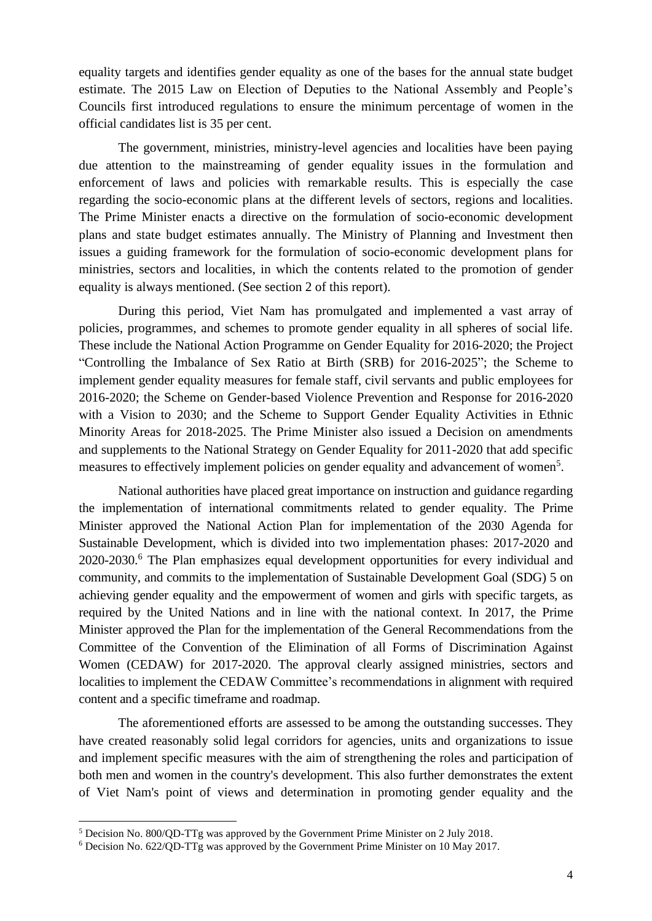equality targets and identifies gender equality as one of the bases for the annual state budget estimate. The 2015 Law on Election of Deputies to the National Assembly and People's Councils first introduced regulations to ensure the minimum percentage of women in the official candidates list is 35 per cent.

The government, ministries, ministry-level agencies and localities have been paying due attention to the mainstreaming of gender equality issues in the formulation and enforcement of laws and policies with remarkable results. This is especially the case regarding the socio-economic plans at the different levels of sectors, regions and localities. The Prime Minister enacts a directive on the formulation of socio-economic development plans and state budget estimates annually. The Ministry of Planning and Investment then issues a guiding framework for the formulation of socio-economic development plans for ministries, sectors and localities, in which the contents related to the promotion of gender equality is always mentioned. (See section 2 of this report).

During this period, Viet Nam has promulgated and implemented a vast array of policies, programmes, and schemes to promote gender equality in all spheres of social life. These include the National Action Programme on Gender Equality for 2016-2020; the Project "Controlling the Imbalance of Sex Ratio at Birth (SRB) for 2016-2025"; the Scheme to implement gender equality measures for female staff, civil servants and public employees for 2016-2020; the Scheme on Gender-based Violence Prevention and Response for 2016-2020 with a Vision to 2030; and the Scheme to Support Gender Equality Activities in Ethnic Minority Areas for 2018-2025. The Prime Minister also issued a Decision on amendments and supplements to the National Strategy on Gender Equality for 2011-2020 that add specific measures to effectively implement policies on gender equality and advancement of women<sup>5</sup>.

National authorities have placed great importance on instruction and guidance regarding the implementation of international commitments related to gender equality. The Prime Minister approved the National Action Plan for implementation of the 2030 Agenda for Sustainable Development, which is divided into two implementation phases: 2017-2020 and 2020-2030. <sup>6</sup> The Plan emphasizes equal development opportunities for every individual and community, and commits to the implementation of Sustainable Development Goal (SDG) 5 on achieving gender equality and the empowerment of women and girls with specific targets, as required by the United Nations and in line with the national context. In 2017, the Prime Minister approved the Plan for the implementation of the General Recommendations from the Committee of the Convention of the Elimination of all Forms of Discrimination Against Women (CEDAW) for 2017-2020. The approval clearly assigned ministries, sectors and localities to implement the CEDAW Committee's recommendations in alignment with required content and a specific timeframe and roadmap.

The aforementioned efforts are assessed to be among the outstanding successes. They have created reasonably solid legal corridors for agencies, units and organizations to issue and implement specific measures with the aim of strengthening the roles and participation of both men and women in the country's development. This also further demonstrates the extent of Viet Nam's point of views and determination in promoting gender equality and the

<sup>5</sup> Decision No. 800/QD-TTg was approved by the Government Prime Minister on 2 July 2018.

<sup>6</sup> Decision No. 622/QD-TTg was approved by the Government Prime Minister on 10 May 2017.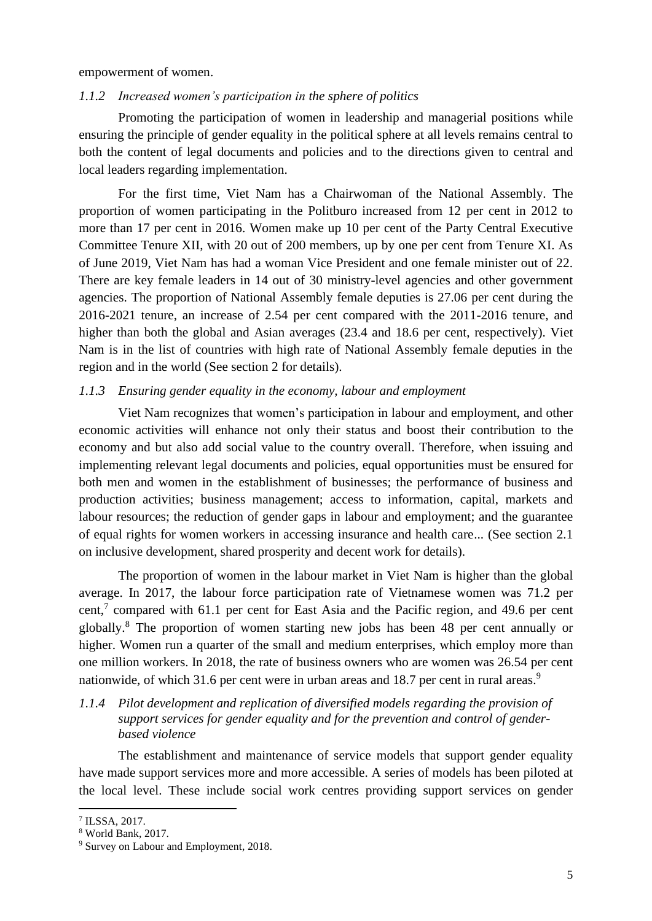empowerment of women.

#### *1.1.2 Increased women's participation in the sphere of politics*

Promoting the participation of women in leadership and managerial positions while ensuring the principle of gender equality in the political sphere at all levels remains central to both the content of legal documents and policies and to the directions given to central and local leaders regarding implementation.

For the first time, Viet Nam has a Chairwoman of the National Assembly. The proportion of women participating in the Politburo increased from 12 per cent in 2012 to more than 17 per cent in 2016. Women make up 10 per cent of the Party Central Executive Committee Tenure XII, with 20 out of 200 members, up by one per cent from Tenure XI. As of June 2019, Viet Nam has had a woman Vice President and one female minister out of 22. There are key female leaders in 14 out of 30 ministry-level agencies and other government agencies. The proportion of National Assembly female deputies is 27.06 per cent during the 2016-2021 tenure, an increase of 2.54 per cent compared with the 2011-2016 tenure, and higher than both the global and Asian averages (23.4 and 18.6 per cent, respectively). Viet Nam is in the list of countries with high rate of National Assembly female deputies in the region and in the world (See section 2 for details).

## *1.1.3 Ensuring gender equality in the economy, labour and employment*

Viet Nam recognizes that women's participation in labour and employment, and other economic activities will enhance not only their status and boost their contribution to the economy and but also add social value to the country overall. Therefore, when issuing and implementing relevant legal documents and policies, equal opportunities must be ensured for both men and women in the establishment of businesses; the performance of business and production activities; business management; access to information, capital, markets and labour resources; the reduction of gender gaps in labour and employment; and the guarantee of equal rights for women workers in accessing insurance and health care... (See section 2.1 on inclusive development, shared prosperity and decent work for details).

The proportion of women in the labour market in Viet Nam is higher than the global average. In 2017, the labour force participation rate of Vietnamese women was 71.2 per cent,<sup>7</sup> compared with 61.1 per cent for East Asia and the Pacific region, and 49.6 per cent globally. <sup>8</sup> The proportion of women starting new jobs has been 48 per cent annually or higher. Women run a quarter of the small and medium enterprises, which employ more than one million workers. In 2018, the rate of business owners who are women was 26.54 per cent nationwide, of which 31.6 per cent were in urban areas and 18.7 per cent in rural areas.<sup>9</sup>

# *1.1.4 Pilot development and replication of diversified models regarding the provision of support services for gender equality and for the prevention and control of genderbased violence*

The establishment and maintenance of service models that support gender equality have made support services more and more accessible. A series of models has been piloted at the local level. These include social work centres providing support services on gender

<sup>7</sup> ILSSA, 2017.

<sup>8</sup> World Bank, 2017.

<sup>9</sup> Survey on Labour and Employment, 2018.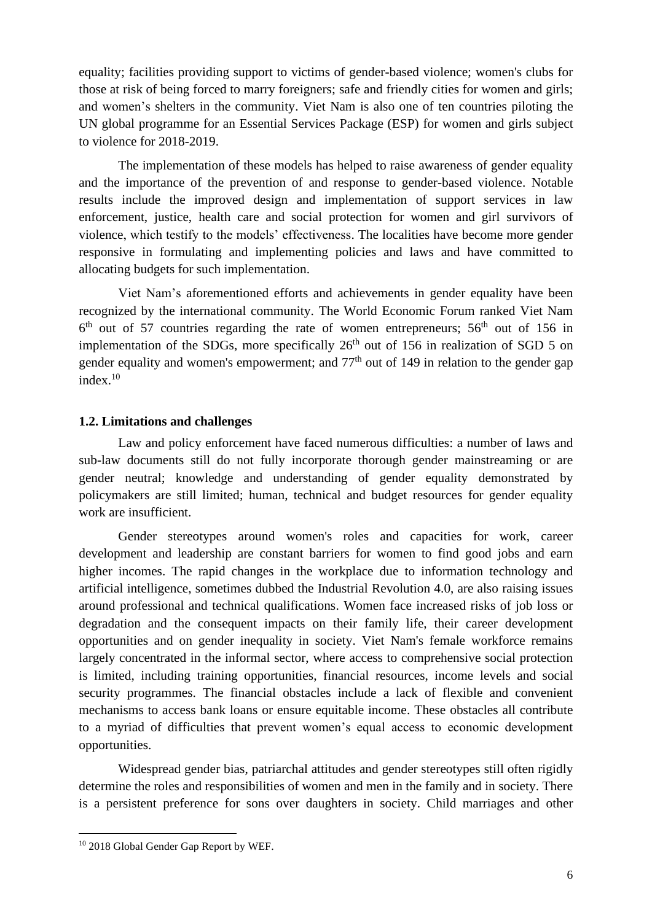equality; facilities providing support to victims of gender-based violence; women's clubs for those at risk of being forced to marry foreigners; safe and friendly cities for women and girls; and women's shelters in the community. Viet Nam is also one of ten countries piloting the UN global programme for an Essential Services Package (ESP) for women and girls subject to violence for 2018-2019.

The implementation of these models has helped to raise awareness of gender equality and the importance of the prevention of and response to gender-based violence. Notable results include the improved design and implementation of support services in law enforcement, justice, health care and social protection for women and girl survivors of violence, which testify to the models' effectiveness. The localities have become more gender responsive in formulating and implementing policies and laws and have committed to allocating budgets for such implementation.

Viet Nam's aforementioned efforts and achievements in gender equality have been recognized by the international community. The World Economic Forum ranked Viet Nam  $6<sup>th</sup>$  out of 57 countries regarding the rate of women entrepreneurs; 56<sup>th</sup> out of 156 in implementation of the SDGs, more specifically  $26<sup>th</sup>$  out of 156 in realization of SGD 5 on gender equality and women's empowerment; and 77<sup>th</sup> out of 149 in relation to the gender gap index. 10

## <span id="page-5-0"></span>**1.2. Limitations and challenges**

Law and policy enforcement have faced numerous difficulties: a number of laws and sub-law documents still do not fully incorporate thorough gender mainstreaming or are gender neutral; knowledge and understanding of gender equality demonstrated by policymakers are still limited; human, technical and budget resources for gender equality work are insufficient.

Gender stereotypes around women's roles and capacities for work, career development and leadership are constant barriers for women to find good jobs and earn higher incomes. The rapid changes in the workplace due to information technology and artificial intelligence, sometimes dubbed the Industrial Revolution 4.0, are also raising issues around professional and technical qualifications. Women face increased risks of job loss or degradation and the consequent impacts on their family life, their career development opportunities and on gender inequality in society. Viet Nam's female workforce remains largely concentrated in the informal sector, where access to comprehensive social protection is limited, including training opportunities, financial resources, income levels and social security programmes. The financial obstacles include a lack of flexible and convenient mechanisms to access bank loans or ensure equitable income. These obstacles all contribute to a myriad of difficulties that prevent women's equal access to economic development opportunities.

Widespread gender bias, patriarchal attitudes and gender stereotypes still often rigidly determine the roles and responsibilities of women and men in the family and in society. There is a persistent preference for sons over daughters in society. Child marriages and other

<sup>10</sup> 2018 Global Gender Gap Report by WEF.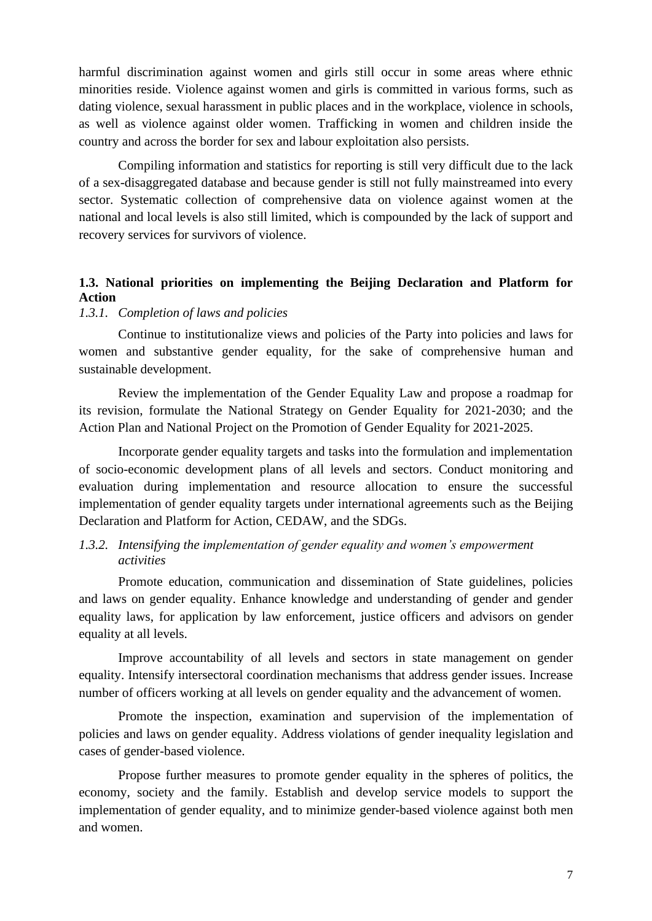harmful discrimination against women and girls still occur in some areas where ethnic minorities reside. Violence against women and girls is committed in various forms, such as dating violence, sexual harassment in public places and in the workplace, violence in schools, as well as violence against older women. Trafficking in women and children inside the country and across the border for sex and labour exploitation also persists.

Compiling information and statistics for reporting is still very difficult due to the lack of a sex-disaggregated database and because gender is still not fully mainstreamed into every sector. Systematic collection of comprehensive data on violence against women at the national and local levels is also still limited, which is compounded by the lack of support and recovery services for survivors of violence.

# <span id="page-6-0"></span>**1.3. National priorities on implementing the Beijing Declaration and Platform for Action**

## *1.3.1. Completion of laws and policies*

Continue to institutionalize views and policies of the Party into policies and laws for women and substantive gender equality, for the sake of comprehensive human and sustainable development.

Review the implementation of the Gender Equality Law and propose a roadmap for its revision, formulate the National Strategy on Gender Equality for 2021-2030; and the Action Plan and National Project on the Promotion of Gender Equality for 2021-2025.

Incorporate gender equality targets and tasks into the formulation and implementation of socio-economic development plans of all levels and sectors. Conduct monitoring and evaluation during implementation and resource allocation to ensure the successful implementation of gender equality targets under international agreements such as the Beijing Declaration and Platform for Action, CEDAW, and the SDGs.

## *1.3.2. Intensifying the implementation of gender equality and women's empowerment activities*

Promote education, communication and dissemination of State guidelines, policies and laws on gender equality. Enhance knowledge and understanding of gender and gender equality laws, for application by law enforcement, justice officers and advisors on gender equality at all levels.

Improve accountability of all levels and sectors in state management on gender equality. Intensify intersectoral coordination mechanisms that address gender issues. Increase number of officers working at all levels on gender equality and the advancement of women.

Promote the inspection, examination and supervision of the implementation of policies and laws on gender equality. Address violations of gender inequality legislation and cases of gender-based violence.

Propose further measures to promote gender equality in the spheres of politics, the economy, society and the family. Establish and develop service models to support the implementation of gender equality, and to minimize gender-based violence against both men and women.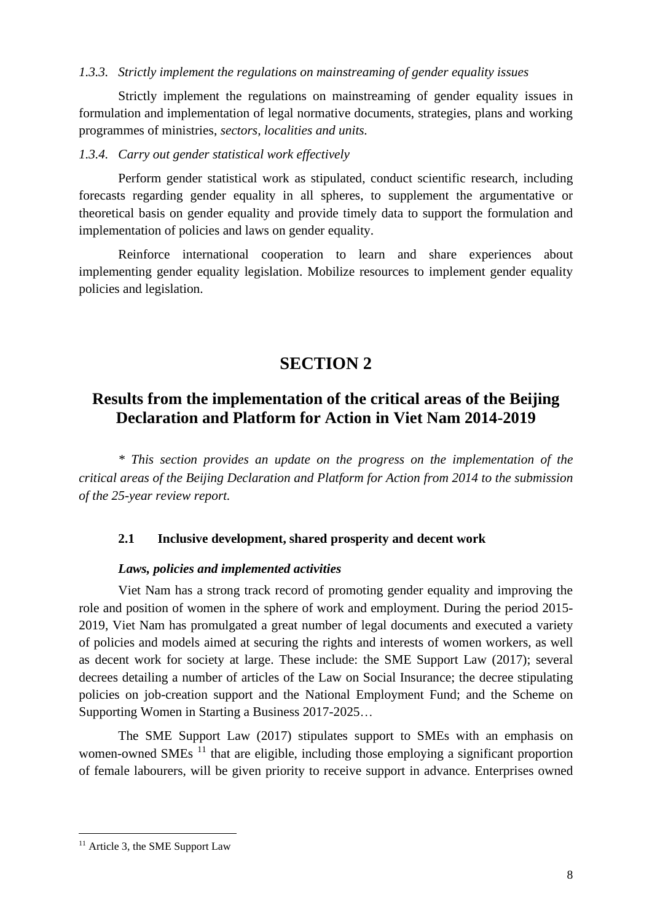### *1.3.3. Strictly implement the regulations on mainstreaming of gender equality issues*

Strictly implement the regulations on mainstreaming of gender equality issues in formulation and implementation of legal normative documents, strategies, plans and working programmes of ministries, *sectors, localities and units.*

#### *1.3.4. Carry out gender statistical work effectively*

Perform gender statistical work as stipulated, conduct scientific research, including forecasts regarding gender equality in all spheres, to supplement the argumentative or theoretical basis on gender equality and provide timely data to support the formulation and implementation of policies and laws on gender equality.

Reinforce international cooperation to learn and share experiences about implementing gender equality legislation. Mobilize resources to implement gender equality policies and legislation.

# **SECTION 2**

# <span id="page-7-0"></span>**Results from the implementation of the critical areas of the Beijing Declaration and Platform for Action in Viet Nam 2014-2019**

*\* This section provides an update on the progress on the implementation of the critical areas of the Beijing Declaration and Platform for Action from 2014 to the submission of the 25-year review report.* 

## <span id="page-7-1"></span>**2.1 Inclusive development, shared prosperity and decent work**

## *Laws, policies and implemented activities*

Viet Nam has a strong track record of promoting gender equality and improving the role and position of women in the sphere of work and employment. During the period 2015- 2019, Viet Nam has promulgated a great number of legal documents and executed a variety of policies and models aimed at securing the rights and interests of women workers, as well as decent work for society at large. These include: the SME Support Law (2017); several decrees detailing a number of articles of the Law on Social Insurance; the decree stipulating policies on job-creation support and the National Employment Fund; and the Scheme on Supporting Women in Starting a Business 2017-2025…

The SME Support Law (2017) stipulates support to SMEs with an emphasis on women-owned SMEs<sup>11</sup> that are eligible, including those employing a significant proportion of female labourers, will be given priority to receive support in advance. Enterprises owned

<sup>&</sup>lt;sup>11</sup> Article 3, the SME Support Law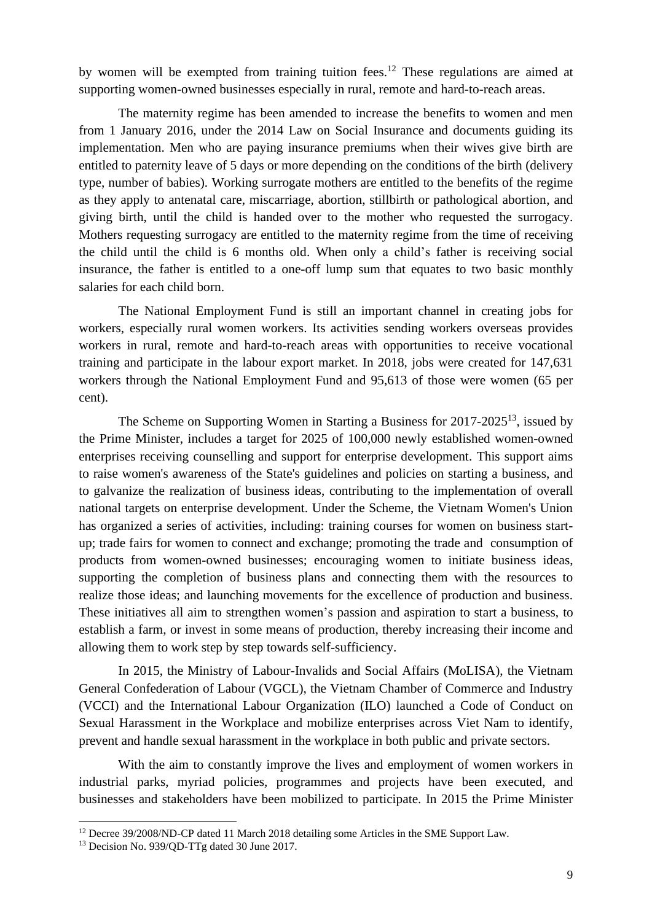by women will be exempted from training tuition fees.<sup>12</sup> These regulations are aimed at supporting women-owned businesses especially in rural, remote and hard-to-reach areas.

The maternity regime has been amended to increase the benefits to women and men from 1 January 2016, under the 2014 Law on Social Insurance and documents guiding its implementation. Men who are paying insurance premiums when their wives give birth are entitled to paternity leave of 5 days or more depending on the conditions of the birth (delivery type, number of babies). Working surrogate mothers are entitled to the benefits of the regime as they apply to antenatal care, miscarriage, abortion, stillbirth or pathological abortion, and giving birth, until the child is handed over to the mother who requested the surrogacy. Mothers requesting surrogacy are entitled to the maternity regime from the time of receiving the child until the child is 6 months old. When only a child's father is receiving social insurance, the father is entitled to a one-off lump sum that equates to two basic monthly salaries for each child born.

The National Employment Fund is still an important channel in creating jobs for workers, especially rural women workers. Its activities sending workers overseas provides workers in rural, remote and hard-to-reach areas with opportunities to receive vocational training and participate in the labour export market. In 2018, jobs were created for 147,631 workers through the National Employment Fund and 95,613 of those were women (65 per cent).

The Scheme on Supporting Women in Starting a Business for 2017-2025<sup>13</sup>, issued by the Prime Minister, includes a target for 2025 of 100,000 newly established women-owned enterprises receiving counselling and support for enterprise development. This support aims to raise women's awareness of the State's guidelines and policies on starting a business, and to galvanize the realization of business ideas, contributing to the implementation of overall national targets on enterprise development. Under the Scheme, the Vietnam Women's Union has organized a series of activities, including: training courses for women on business startup; trade fairs for women to connect and exchange; promoting the trade and consumption of products from women-owned businesses; encouraging women to initiate business ideas, supporting the completion of business plans and connecting them with the resources to realize those ideas; and launching movements for the excellence of production and business. These initiatives all aim to strengthen women's passion and aspiration to start a business, to establish a farm, or invest in some means of production, thereby increasing their income and allowing them to work step by step towards self-sufficiency.

In 2015, the Ministry of Labour-Invalids and Social Affairs (MoLISA), the Vietnam General Confederation of Labour (VGCL), the Vietnam Chamber of Commerce and Industry (VCCI) and the International Labour Organization (ILO) launched a Code of Conduct on Sexual Harassment in the Workplace and mobilize enterprises across Viet Nam to identify, prevent and handle sexual harassment in the workplace in both public and private sectors.

With the aim to constantly improve the lives and employment of women workers in industrial parks, myriad policies, programmes and projects have been executed, and businesses and stakeholders have been mobilized to participate. In 2015 the Prime Minister

<sup>&</sup>lt;sup>12</sup> Decree 39/2008/ND-CP dated 11 March 2018 detailing some Articles in the SME Support Law.

<sup>&</sup>lt;sup>13</sup> Decision No. 939/OD-TTg dated 30 June 2017.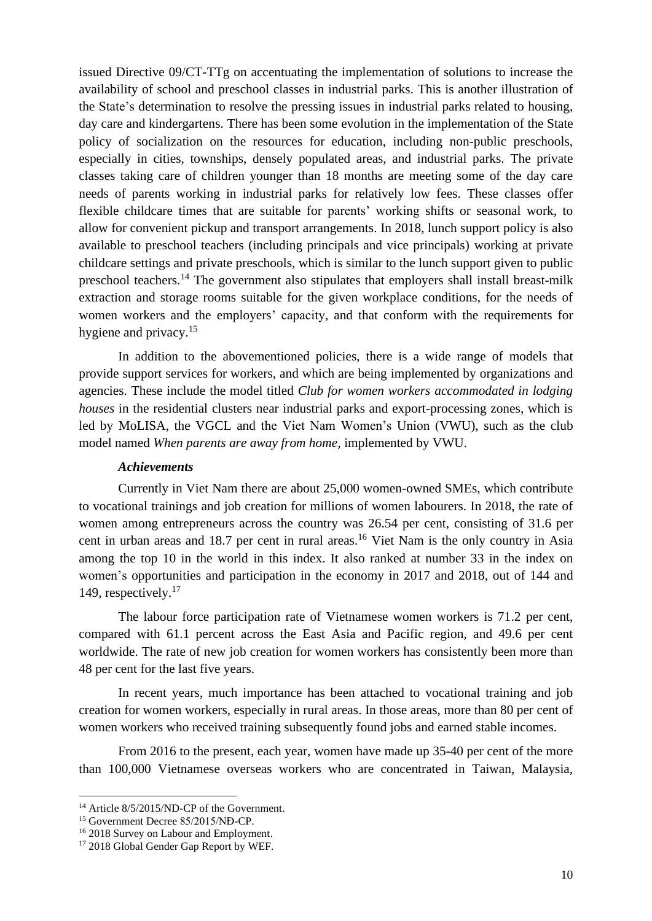issued Directive 09/CT-TTg on accentuating the implementation of solutions to increase the availability of school and preschool classes in industrial parks. This is another illustration of the State's determination to resolve the pressing issues in industrial parks related to housing, day care and kindergartens. There has been some evolution in the implementation of the State policy of socialization on the resources for education, including non-public preschools, especially in cities, townships, densely populated areas, and industrial parks. The private classes taking care of children younger than 18 months are meeting some of the day care needs of parents working in industrial parks for relatively low fees. These classes offer flexible childcare times that are suitable for parents' working shifts or seasonal work, to allow for convenient pickup and transport arrangements. In 2018, lunch support policy is also available to preschool teachers (including principals and vice principals) working at private childcare settings and private preschools, which is similar to the lunch support given to public preschool teachers.<sup>14</sup> The government also stipulates that employers shall install breast-milk extraction and storage rooms suitable for the given workplace conditions, for the needs of women workers and the employers' capacity, and that conform with the requirements for hygiene and privacy.<sup>15</sup>

In addition to the abovementioned policies, there is a wide range of models that provide support services for workers, and which are being implemented by organizations and agencies. These include the model titled *Club for women workers accommodated in lodging houses* in the residential clusters near industrial parks and export-processing zones, which is led by MoLISA, the VGCL and the Viet Nam Women's Union (VWU), such as the club model named *When parents are away from home,* implemented by VWU.

#### *Achievements*

Currently in Viet Nam there are about 25,000 women-owned SMEs, which contribute to vocational trainings and job creation for millions of women labourers. In 2018, the rate of women among entrepreneurs across the country was 26.54 per cent, consisting of 31.6 per cent in urban areas and 18.7 per cent in rural areas. <sup>16</sup> Viet Nam is the only country in Asia among the top 10 in the world in this index. It also ranked at number 33 in the index on women's opportunities and participation in the economy in 2017 and 2018, out of 144 and 149, respectively. 17

The labour force participation rate of Vietnamese women workers is 71.2 per cent, compared with 61.1 percent across the East Asia and Pacific region, and 49.6 per cent worldwide. The rate of new job creation for women workers has consistently been more than 48 per cent for the last five years.

In recent years, much importance has been attached to vocational training and job creation for women workers, especially in rural areas. In those areas, more than 80 per cent of women workers who received training subsequently found jobs and earned stable incomes.

From 2016 to the present, each year, women have made up 35-40 per cent of the more than 100,000 Vietnamese overseas workers who are concentrated in Taiwan, Malaysia,

<sup>&</sup>lt;sup>14</sup> Article 8/5/2015/ND-CP of the Government.

<sup>15</sup> Government Decree 85/2015/NĐ-CP.

<sup>&</sup>lt;sup>16</sup> 2018 Survey on Labour and Employment.

<sup>&</sup>lt;sup>17</sup> 2018 Global Gender Gap Report by WEF.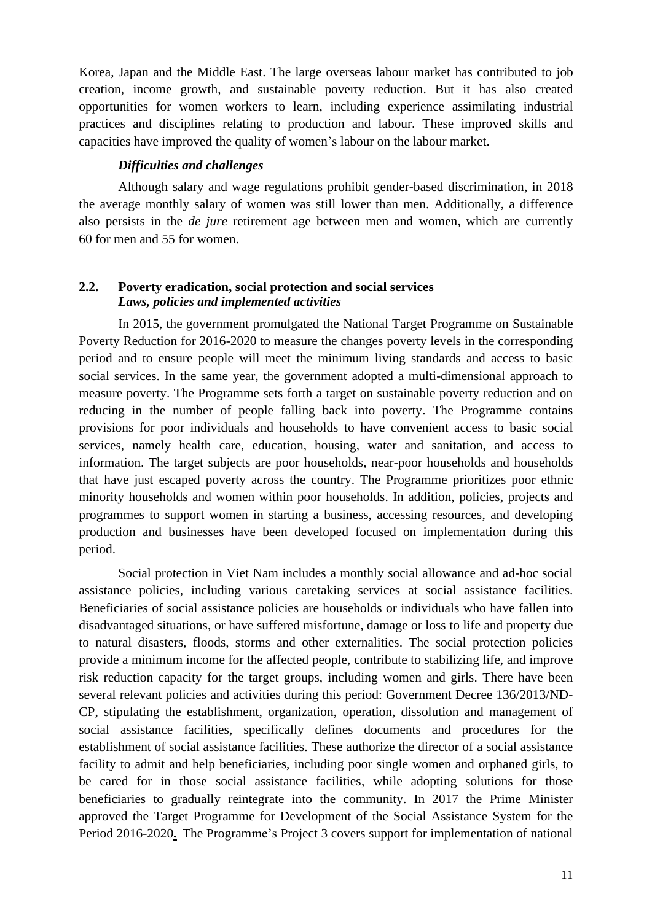Korea, Japan and the Middle East. The large overseas labour market has contributed to job creation, income growth, and sustainable poverty reduction. But it has also created opportunities for women workers to learn, including experience assimilating industrial practices and disciplines relating to production and labour. These improved skills and capacities have improved the quality of women's labour on the labour market.

## *Difficulties and challenges*

Although salary and wage regulations prohibit gender-based discrimination, in 2018 the average monthly salary of women was still lower than men. Additionally, a difference also persists in the *de jure* retirement age between men and women, which are currently 60 for men and 55 for women.

## <span id="page-10-0"></span>**2.2. Poverty eradication, social protection and social services** *Laws, policies and implemented activities*

In 2015, the government promulgated the National Target Programme on Sustainable Poverty Reduction for 2016-2020 to measure the changes poverty levels in the corresponding period and to ensure people will meet the minimum living standards and access to basic social services. In the same year, the government adopted a multi-dimensional approach to measure poverty. The Programme sets forth a target on sustainable poverty reduction and on reducing in the number of people falling back into poverty. The Programme contains provisions for poor individuals and households to have convenient access to basic social services, namely health care, education, housing, water and sanitation, and access to information. The target subjects are poor households, near-poor households and households that have just escaped poverty across the country. The Programme prioritizes poor ethnic minority households and women within poor households. In addition, policies, projects and programmes to support women in starting a business, accessing resources, and developing production and businesses have been developed focused on implementation during this period.

Social protection in Viet Nam includes a monthly social allowance and ad-hoc social assistance policies, including various caretaking services at social assistance facilities. Beneficiaries of social assistance policies are households or individuals who have fallen into disadvantaged situations, or have suffered misfortune, damage or loss to life and property due to natural disasters, floods, storms and other externalities. The social protection policies provide a minimum income for the affected people, contribute to stabilizing life, and improve risk reduction capacity for the target groups, including women and girls. There have been several relevant policies and activities during this period: Government Decree 136/2013/ND-CP, stipulating the establishment, organization, operation, dissolution and management of social assistance facilities, specifically defines documents and procedures for the establishment of social assistance facilities. These authorize the director of a social assistance facility to admit and help beneficiaries, including poor single women and orphaned girls, to be cared for in those social assistance facilities, while adopting solutions for those beneficiaries to gradually reintegrate into the community. In 2017 the Prime Minister approved the Target Programme for Development of the Social Assistance System for the Period 2016-2020**.** The Programme's Project 3 covers support for implementation of national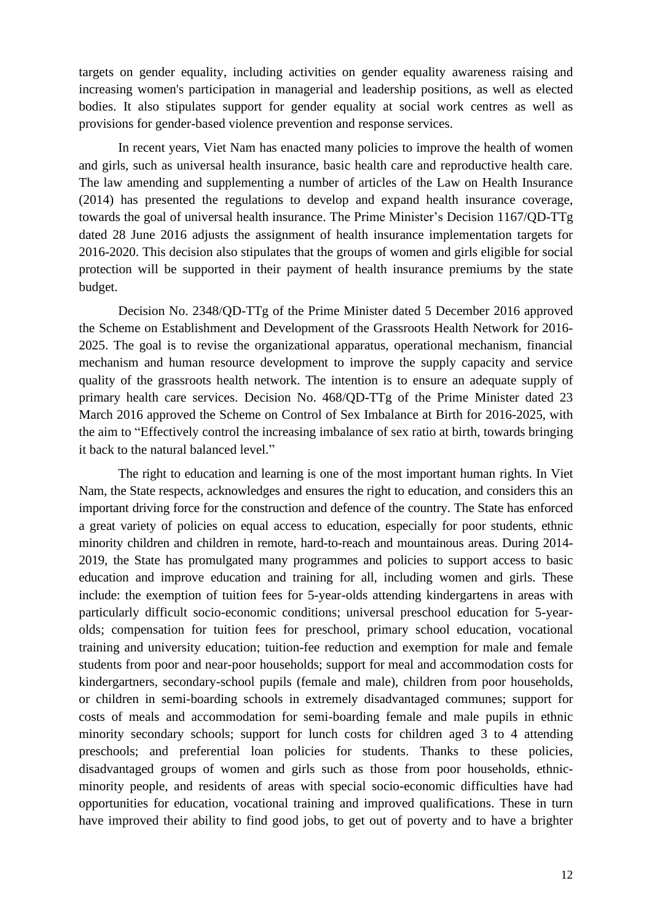targets on gender equality, including activities on gender equality awareness raising and increasing women's participation in managerial and leadership positions, as well as elected bodies. It also stipulates support for gender equality at social work centres as well as provisions for gender-based violence prevention and response services.

In recent years, Viet Nam has enacted many policies to improve the health of women and girls, such as universal health insurance, basic health care and reproductive health care. The law amending and supplementing a number of articles of the Law on Health Insurance (2014) has presented the regulations to develop and expand health insurance coverage, towards the goal of universal health insurance. The Prime Minister's Decision 1167/QD-TTg dated 28 June 2016 adjusts the assignment of health insurance implementation targets for 2016-2020. This decision also stipulates that the groups of women and girls eligible for social protection will be supported in their payment of health insurance premiums by the state budget.

Decision No. 2348/QD-TTg of the Prime Minister dated 5 December 2016 approved the Scheme on Establishment and Development of the Grassroots Health Network for 2016- 2025. The goal is to revise the organizational apparatus, operational mechanism, financial mechanism and human resource development to improve the supply capacity and service quality of the grassroots health network. The intention is to ensure an adequate supply of primary health care services. Decision No. 468/QD-TTg of the Prime Minister dated 23 March 2016 approved the Scheme on Control of Sex Imbalance at Birth for 2016-2025, with the aim to "Effectively control the increasing imbalance of sex ratio at birth, towards bringing it back to the natural balanced level."

The right to education and learning is one of the most important human rights. In Viet Nam, the State respects, acknowledges and ensures the right to education, and considers this an important driving force for the construction and defence of the country. The State has enforced a great variety of policies on equal access to education, especially for poor students, ethnic minority children and children in remote, hard-to-reach and mountainous areas. During 2014- 2019, the State has promulgated many programmes and policies to support access to basic education and improve education and training for all, including women and girls. These include: the exemption of tuition fees for 5-year-olds attending kindergartens in areas with particularly difficult socio-economic conditions; universal preschool education for 5-yearolds; compensation for tuition fees for preschool, primary school education, vocational training and university education; tuition-fee reduction and exemption for male and female students from poor and near-poor households; support for meal and accommodation costs for kindergartners, secondary-school pupils (female and male), children from poor households, or children in semi-boarding schools in extremely disadvantaged communes; support for costs of meals and accommodation for semi-boarding female and male pupils in ethnic minority secondary schools; support for lunch costs for children aged 3 to 4 attending preschools; and preferential loan policies for students. Thanks to these policies, disadvantaged groups of women and girls such as those from poor households, ethnicminority people, and residents of areas with special socio-economic difficulties have had opportunities for education, vocational training and improved qualifications. These in turn have improved their ability to find good jobs, to get out of poverty and to have a brighter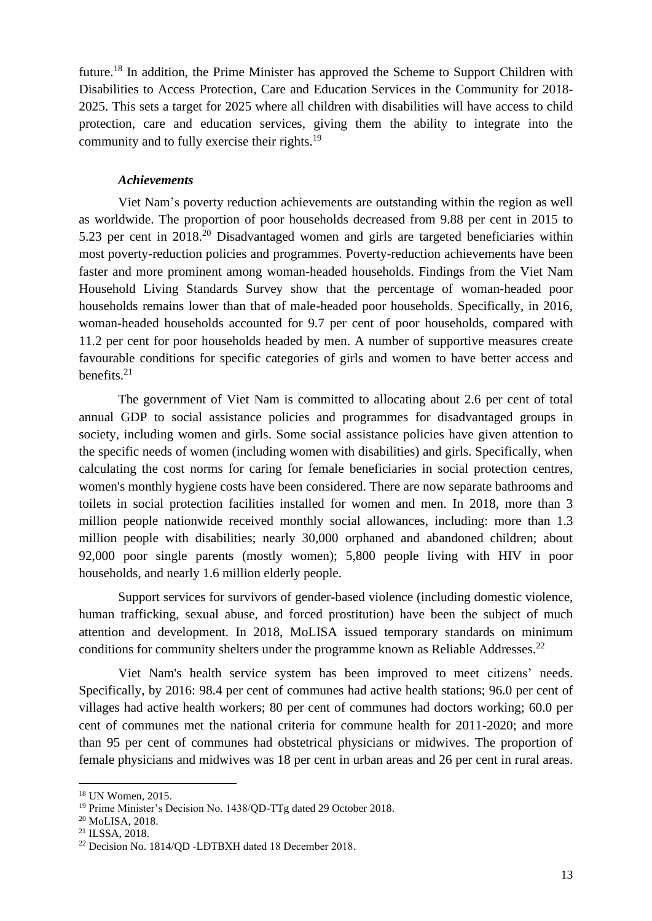future.<sup>18</sup> In addition, the Prime Minister has approved the Scheme to Support Children with Disabilities to Access Protection, Care and Education Services in the Community for 2018- 2025. This sets a target for 2025 where all children with disabilities will have access to child protection, care and education services, giving them the ability to integrate into the community and to fully exercise their rights.<sup>19</sup>

#### *Achievements*

Viet Nam's poverty reduction achievements are outstanding within the region as well as worldwide. The proportion of poor households decreased from 9.88 per cent in 2015 to 5.23 per cent in 2018. <sup>20</sup> Disadvantaged women and girls are targeted beneficiaries within most poverty-reduction policies and programmes. Poverty-reduction achievements have been faster and more prominent among woman-headed households. Findings from the Viet Nam Household Living Standards Survey show that the percentage of woman-headed poor households remains lower than that of male-headed poor households. Specifically, in 2016, woman-headed households accounted for 9.7 per cent of poor households, compared with 11.2 per cent for poor households headed by men. A number of supportive measures create favourable conditions for specific categories of girls and women to have better access and benefits. 21

The government of Viet Nam is committed to allocating about 2.6 per cent of total annual GDP to social assistance policies and programmes for disadvantaged groups in society, including women and girls. Some social assistance policies have given attention to the specific needs of women (including women with disabilities) and girls. Specifically, when calculating the cost norms for caring for female beneficiaries in social protection centres, women's monthly hygiene costs have been considered. There are now separate bathrooms and toilets in social protection facilities installed for women and men. In 2018, more than 3 million people nationwide received monthly social allowances, including: more than 1.3 million people with disabilities; nearly 30,000 orphaned and abandoned children; about 92,000 poor single parents (mostly women); 5,800 people living with HIV in poor households, and nearly 1.6 million elderly people.

Support services for survivors of gender-based violence (including domestic violence, human trafficking, sexual abuse, and forced prostitution) have been the subject of much attention and development. In 2018, MoLISA issued temporary standards on minimum conditions for community shelters under the programme known as Reliable Addresses.<sup>22</sup>

Viet Nam's health service system has been improved to meet citizens' needs. Specifically, by 2016: 98.4 per cent of communes had active health stations; 96.0 per cent of villages had active health workers; 80 per cent of communes had doctors working; 60.0 per cent of communes met the national criteria for commune health for 2011-2020; and more than 95 per cent of communes had obstetrical physicians or midwives. The proportion of female physicians and midwives was 18 per cent in urban areas and 26 per cent in rural areas.

<sup>18</sup> UN Women, 2015.

<sup>19</sup> Prime Minister's Decision No. 1438/QD-TTg dated 29 October 2018.

<sup>20</sup> MoLISA, 2018.

<sup>21</sup> ILSSA, 2018.

<sup>22</sup> Decision No. 1814/QD -LĐTBXH dated 18 December 2018.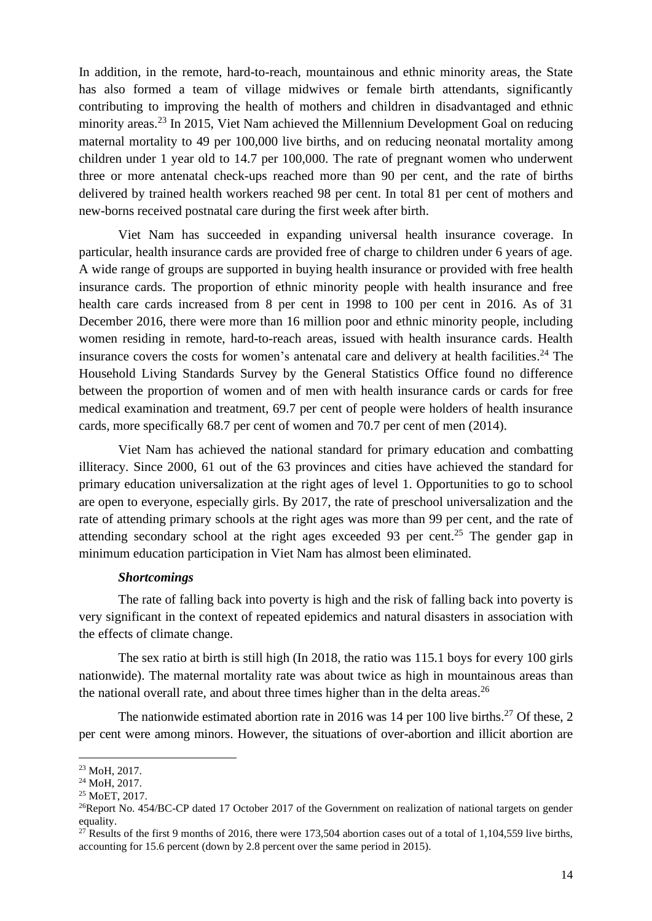In addition, in the remote, hard-to-reach, mountainous and ethnic minority areas, the State has also formed a team of village midwives or female birth attendants, significantly contributing to improving the health of mothers and children in disadvantaged and ethnic minority areas.<sup>23</sup> In 2015, Viet Nam achieved the Millennium Development Goal on reducing maternal mortality to 49 per 100,000 live births, and on reducing neonatal mortality among children under 1 year old to 14.7 per 100,000. The rate of pregnant women who underwent three or more antenatal check-ups reached more than 90 per cent, and the rate of births delivered by trained health workers reached 98 per cent. In total 81 per cent of mothers and new-borns received postnatal care during the first week after birth.

Viet Nam has succeeded in expanding universal health insurance coverage. In particular, health insurance cards are provided free of charge to children under 6 years of age. A wide range of groups are supported in buying health insurance or provided with free health insurance cards. The proportion of ethnic minority people with health insurance and free health care cards increased from 8 per cent in 1998 to 100 per cent in 2016. As of 31 December 2016, there were more than 16 million poor and ethnic minority people, including women residing in remote, hard-to-reach areas, issued with health insurance cards. Health insurance covers the costs for women's antenatal care and delivery at health facilities.<sup>24</sup> The Household Living Standards Survey by the General Statistics Office found no difference between the proportion of women and of men with health insurance cards or cards for free medical examination and treatment, 69.7 per cent of people were holders of health insurance cards, more specifically 68.7 per cent of women and 70.7 per cent of men (2014).

Viet Nam has achieved the national standard for primary education and combatting illiteracy. Since 2000, 61 out of the 63 provinces and cities have achieved the standard for primary education universalization at the right ages of level 1. Opportunities to go to school are open to everyone, especially girls. By 2017, the rate of preschool universalization and the rate of attending primary schools at the right ages was more than 99 per cent, and the rate of attending secondary school at the right ages exceeded 93 per cent.<sup>25</sup> The gender gap in minimum education participation in Viet Nam has almost been eliminated.

## *Shortcomings*

The rate of falling back into poverty is high and the risk of falling back into poverty is very significant in the context of repeated epidemics and natural disasters in association with the effects of climate change.

The sex ratio at birth is still high (In 2018, the ratio was 115.1 boys for every 100 girls nationwide). The maternal mortality rate was about twice as high in mountainous areas than the national overall rate, and about three times higher than in the delta areas.<sup>26</sup>

The nationwide estimated abortion rate in 2016 was 14 per 100 live births.<sup>27</sup> Of these, 2 per cent were among minors. However, the situations of over-abortion and illicit abortion are

<sup>23</sup> MoH, 2017.

<sup>24</sup> MoH, 2017.

<sup>25</sup> MoET, 2017.

<sup>&</sup>lt;sup>26</sup>Report No. 454/BC-CP dated 17 October 2017 of the Government on realization of national targets on gender equality.

<sup>&</sup>lt;sup>27</sup> Results of the first 9 months of 2016, there were 173,504 abortion cases out of a total of 1,104,559 live births, accounting for 15.6 percent (down by 2.8 percent over the same period in 2015).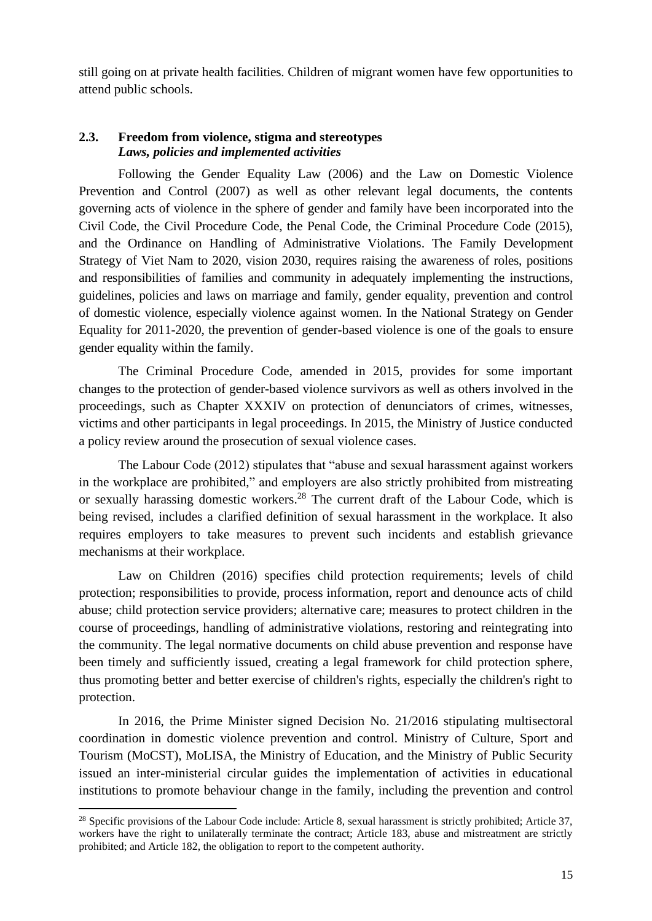still going on at private health facilities. Children of migrant women have few opportunities to attend public schools.

# <span id="page-14-0"></span>**2.3. Freedom from violence, stigma and stereotypes** *Laws, policies and implemented activities*

Following the Gender Equality Law (2006) and the Law on Domestic Violence Prevention and Control (2007) as well as other relevant legal documents, the contents governing acts of violence in the sphere of gender and family have been incorporated into the Civil Code, the Civil Procedure Code, the Penal Code, the Criminal Procedure Code (2015), and the Ordinance on Handling of Administrative Violations. The Family Development Strategy of Viet Nam to 2020, vision 2030, requires raising the awareness of roles, positions and responsibilities of families and community in adequately implementing the instructions, guidelines, policies and laws on marriage and family, gender equality, prevention and control of domestic violence, especially violence against women. In the National Strategy on Gender Equality for 2011-2020, the prevention of gender-based violence is one of the goals to ensure gender equality within the family.

The Criminal Procedure Code, amended in 2015, provides for some important changes to the protection of gender-based violence survivors as well as others involved in the proceedings, such as Chapter XXXIV on protection of denunciators of crimes, witnesses, victims and other participants in legal proceedings. In 2015, the Ministry of Justice conducted a policy review around the prosecution of sexual violence cases.

The Labour Code (2012) stipulates that "abuse and sexual harassment against workers in the workplace are prohibited," and employers are also strictly prohibited from mistreating or sexually harassing domestic workers.<sup>28</sup> The current draft of the Labour Code, which is being revised, includes a clarified definition of sexual harassment in the workplace. It also requires employers to take measures to prevent such incidents and establish grievance mechanisms at their workplace.

Law on Children (2016) specifies child protection requirements; levels of child protection; responsibilities to provide, process information, report and denounce acts of child abuse; child protection service providers; alternative care; measures to protect children in the course of proceedings, handling of administrative violations, restoring and reintegrating into the community. The legal normative documents on child abuse prevention and response have been timely and sufficiently issued, creating a legal framework for child protection sphere, thus promoting better and better exercise of children's rights, especially the children's right to protection.

In 2016, the Prime Minister signed Decision No. 21/2016 stipulating multisectoral coordination in domestic violence prevention and control. Ministry of Culture, Sport and Tourism (MoCST), MoLISA, the Ministry of Education, and the Ministry of Public Security issued an inter-ministerial circular guides the implementation of activities in educational institutions to promote behaviour change in the family, including the prevention and control

<sup>&</sup>lt;sup>28</sup> Specific provisions of the Labour Code include: Article 8, sexual harassment is strictly prohibited; Article 37, workers have the right to unilaterally terminate the contract; Article 183, abuse and mistreatment are strictly prohibited; and Article 182, the obligation to report to the competent authority.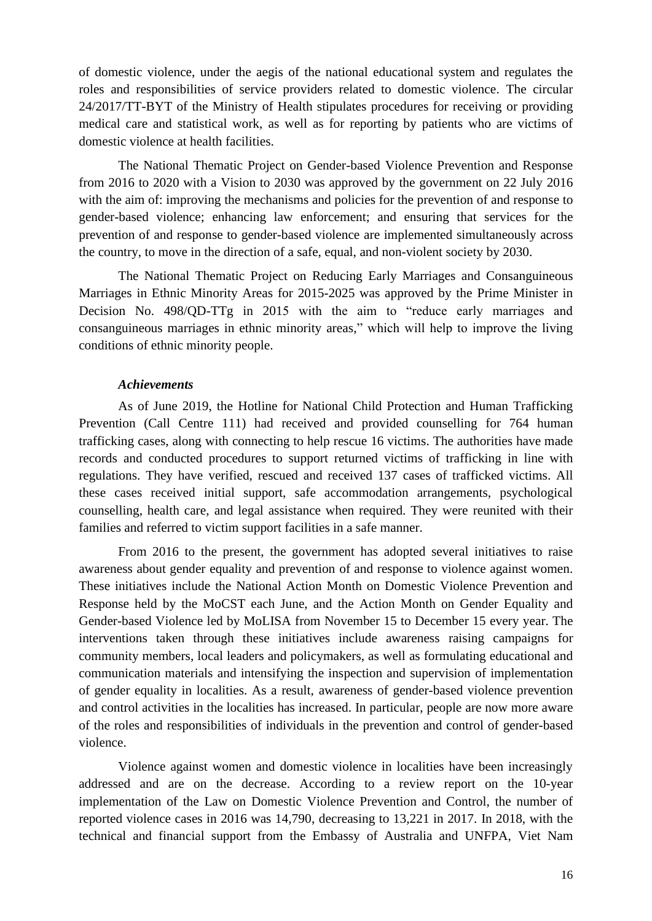of domestic violence, under the aegis of the national educational system and regulates the roles and responsibilities of service providers related to domestic violence. The circular 24/2017/TT-BYT of the Ministry of Health stipulates procedures for receiving or providing medical care and statistical work, as well as for reporting by patients who are victims of domestic violence at health facilities.

The National Thematic Project on Gender-based Violence Prevention and Response from 2016 to 2020 with a Vision to 2030 was approved by the government on 22 July 2016 with the aim of: improving the mechanisms and policies for the prevention of and response to gender-based violence; enhancing law enforcement; and ensuring that services for the prevention of and response to gender-based violence are implemented simultaneously across the country, to move in the direction of a safe, equal, and non-violent society by 2030.

The National Thematic Project on Reducing Early Marriages and Consanguineous Marriages in Ethnic Minority Areas for 2015-2025 was approved by the Prime Minister in Decision No. 498/QD-TTg in 2015 with the aim to "reduce early marriages and consanguineous marriages in ethnic minority areas," which will help to improve the living conditions of ethnic minority people.

#### *Achievements*

As of June 2019, the Hotline for National Child Protection and Human Trafficking Prevention (Call Centre 111) had received and provided counselling for 764 human trafficking cases, along with connecting to help rescue 16 victims. The authorities have made records and conducted procedures to support returned victims of trafficking in line with regulations. They have verified, rescued and received 137 cases of trafficked victims. All these cases received initial support, safe accommodation arrangements, psychological counselling, health care, and legal assistance when required. They were reunited with their families and referred to victim support facilities in a safe manner.

From 2016 to the present, the government has adopted several initiatives to raise awareness about gender equality and prevention of and response to violence against women. These initiatives include the National Action Month on Domestic Violence Prevention and Response held by the MoCST each June, and the Action Month on Gender Equality and Gender-based Violence led by MoLISA from November 15 to December 15 every year. The interventions taken through these initiatives include awareness raising campaigns for community members, local leaders and policymakers, as well as formulating educational and communication materials and intensifying the inspection and supervision of implementation of gender equality in localities. As a result, awareness of gender-based violence prevention and control activities in the localities has increased. In particular, people are now more aware of the roles and responsibilities of individuals in the prevention and control of gender-based violence.

Violence against women and domestic violence in localities have been increasingly addressed and are on the decrease. According to a review report on the 10-year implementation of the Law on Domestic Violence Prevention and Control, the number of reported violence cases in 2016 was 14,790, decreasing to 13,221 in 2017. In 2018, with the technical and financial support from the Embassy of Australia and UNFPA, Viet Nam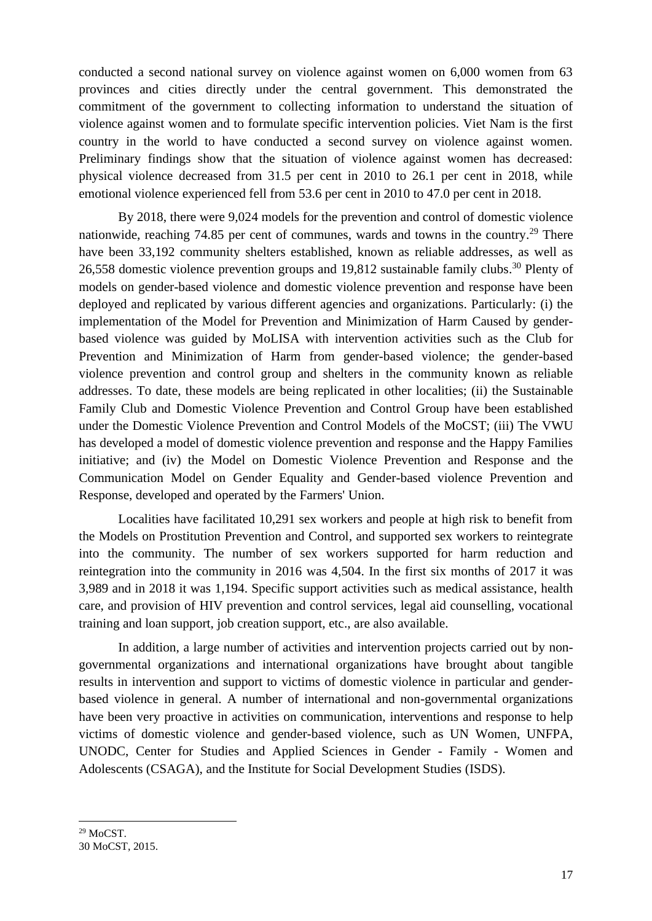conducted a second national survey on violence against women on 6,000 women from 63 provinces and cities directly under the central government. This demonstrated the commitment of the government to collecting information to understand the situation of violence against women and to formulate specific intervention policies. Viet Nam is the first country in the world to have conducted a second survey on violence against women. Preliminary findings show that the situation of violence against women has decreased: physical violence decreased from 31.5 per cent in 2010 to 26.1 per cent in 2018, while emotional violence experienced fell from 53.6 per cent in 2010 to 47.0 per cent in 2018.

By 2018, there were 9,024 models for the prevention and control of domestic violence nationwide, reaching 74.85 per cent of communes, wards and towns in the country.<sup>29</sup> There have been 33,192 community shelters established, known as reliable addresses, as well as 26,558 domestic violence prevention groups and 19,812 sustainable family clubs.<sup>30</sup> Plenty of models on gender-based violence and domestic violence prevention and response have been deployed and replicated by various different agencies and organizations. Particularly: (i) the implementation of the Model for Prevention and Minimization of Harm Caused by genderbased violence was guided by MoLISA with intervention activities such as the Club for Prevention and Minimization of Harm from gender-based violence; the gender-based violence prevention and control group and shelters in the community known as reliable addresses. To date, these models are being replicated in other localities; (ii) the Sustainable Family Club and Domestic Violence Prevention and Control Group have been established under the Domestic Violence Prevention and Control Models of the MoCST; (iii) The VWU has developed a model of domestic violence prevention and response and the Happy Families initiative; and (iv) the Model on Domestic Violence Prevention and Response and the Communication Model on Gender Equality and Gender-based violence Prevention and Response, developed and operated by the Farmers' Union.

Localities have facilitated 10,291 sex workers and people at high risk to benefit from the Models on Prostitution Prevention and Control, and supported sex workers to reintegrate into the community. The number of sex workers supported for harm reduction and reintegration into the community in 2016 was 4,504. In the first six months of 2017 it was 3,989 and in 2018 it was 1,194. Specific support activities such as medical assistance, health care, and provision of HIV prevention and control services, legal aid counselling, vocational training and loan support, job creation support, etc., are also available.

In addition, a large number of activities and intervention projects carried out by nongovernmental organizations and international organizations have brought about tangible results in intervention and support to victims of domestic violence in particular and genderbased violence in general. A number of international and non-governmental organizations have been very proactive in activities on communication, interventions and response to help victims of domestic violence and gender-based violence, such as UN Women, UNFPA, UNODC, Center for Studies and Applied Sciences in Gender - Family - Women and Adolescents (CSAGA), and the Institute for Social Development Studies (ISDS).

 $29 \text{ MoCST}$ 

<sup>30</sup> MoCST, 2015.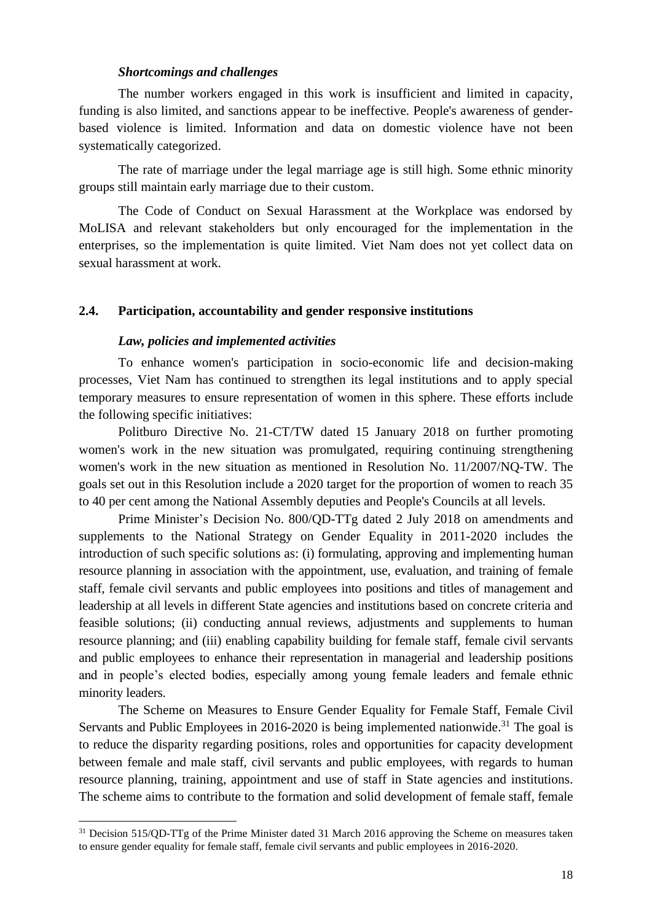#### *Shortcomings and challenges*

The number workers engaged in this work is insufficient and limited in capacity, funding is also limited, and sanctions appear to be ineffective. People's awareness of genderbased violence is limited. Information and data on domestic violence have not been systematically categorized.

The rate of marriage under the legal marriage age is still high. Some ethnic minority groups still maintain early marriage due to their custom.

The Code of Conduct on Sexual Harassment at the Workplace was endorsed by MoLISA and relevant stakeholders but only encouraged for the implementation in the enterprises, so the implementation is quite limited. Viet Nam does not yet collect data on sexual harassment at work.

#### <span id="page-17-0"></span>**2.4. Participation, accountability and gender responsive institutions**

### *Law, policies and implemented activities*

To enhance women's participation in socio-economic life and decision-making processes, Viet Nam has continued to strengthen its legal institutions and to apply special temporary measures to ensure representation of women in this sphere. These efforts include the following specific initiatives:

Politburo Directive No. 21-CT/TW dated 15 January 2018 on further promoting women's work in the new situation was promulgated, requiring continuing strengthening women's work in the new situation as mentioned in Resolution No. 11/2007/NQ-TW. The goals set out in this Resolution include a 2020 target for the proportion of women to reach 35 to 40 per cent among the National Assembly deputies and People's Councils at all levels.

Prime Minister's Decision No. 800/QD-TTg dated 2 July 2018 on amendments and supplements to the National Strategy on Gender Equality in 2011-2020 includes the introduction of such specific solutions as: (i) formulating, approving and implementing human resource planning in association with the appointment, use, evaluation, and training of female staff, female civil servants and public employees into positions and titles of management and leadership at all levels in different State agencies and institutions based on concrete criteria and feasible solutions; (ii) conducting annual reviews, adjustments and supplements to human resource planning; and (iii) enabling capability building for female staff, female civil servants and public employees to enhance their representation in managerial and leadership positions and in people's elected bodies, especially among young female leaders and female ethnic minority leaders.

The Scheme on Measures to Ensure Gender Equality for Female Staff, Female Civil Servants and Public Employees in 2016-2020 is being implemented nationwide.<sup>31</sup> The goal is to reduce the disparity regarding positions, roles and opportunities for capacity development between female and male staff, civil servants and public employees, with regards to human resource planning, training, appointment and use of staff in State agencies and institutions. The scheme aims to contribute to the formation and solid development of female staff, female

<sup>&</sup>lt;sup>31</sup> Decision 515/QD-TTg of the Prime Minister dated 31 March 2016 approving the Scheme on measures taken to ensure gender equality for female staff, female civil servants and public employees in 2016-2020.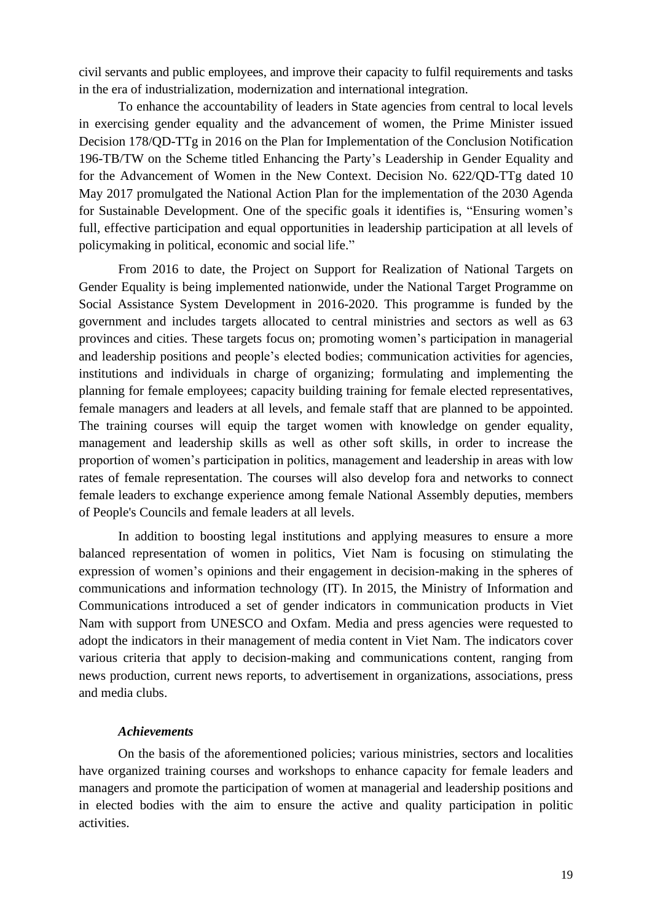civil servants and public employees, and improve their capacity to fulfil requirements and tasks in the era of industrialization, modernization and international integration.

To enhance the accountability of leaders in State agencies from central to local levels in exercising gender equality and the advancement of women, the Prime Minister issued Decision 178/QD-TTg in 2016 on the Plan for Implementation of the Conclusion Notification 196-TB/TW on the Scheme titled Enhancing the Party's Leadership in Gender Equality and for the Advancement of Women in the New Context. Decision No. 622/QD-TTg dated 10 May 2017 promulgated the National Action Plan for the implementation of the 2030 Agenda for Sustainable Development. One of the specific goals it identifies is, "Ensuring women's full, effective participation and equal opportunities in leadership participation at all levels of policymaking in political, economic and social life."

From 2016 to date, the Project on Support for Realization of National Targets on Gender Equality is being implemented nationwide, under the National Target Programme on Social Assistance System Development in 2016-2020. This programme is funded by the government and includes targets allocated to central ministries and sectors as well as 63 provinces and cities. These targets focus on; promoting women's participation in managerial and leadership positions and people's elected bodies; communication activities for agencies, institutions and individuals in charge of organizing; formulating and implementing the planning for female employees; capacity building training for female elected representatives, female managers and leaders at all levels, and female staff that are planned to be appointed. The training courses will equip the target women with knowledge on gender equality, management and leadership skills as well as other soft skills, in order to increase the proportion of women's participation in politics, management and leadership in areas with low rates of female representation. The courses will also develop fora and networks to connect female leaders to exchange experience among female National Assembly deputies, members of People's Councils and female leaders at all levels.

In addition to boosting legal institutions and applying measures to ensure a more balanced representation of women in politics, Viet Nam is focusing on stimulating the expression of women's opinions and their engagement in decision-making in the spheres of communications and information technology (IT). In 2015, the Ministry of Information and Communications introduced a set of gender indicators in communication products in Viet Nam with support from UNESCO and Oxfam. Media and press agencies were requested to adopt the indicators in their management of media content in Viet Nam. The indicators cover various criteria that apply to decision-making and communications content, ranging from news production, current news reports, to advertisement in organizations, associations, press and media clubs.

### *Achievements*

On the basis of the aforementioned policies; various ministries, sectors and localities have organized training courses and workshops to enhance capacity for female leaders and managers and promote the participation of women at managerial and leadership positions and in elected bodies with the aim to ensure the active and quality participation in politic activities.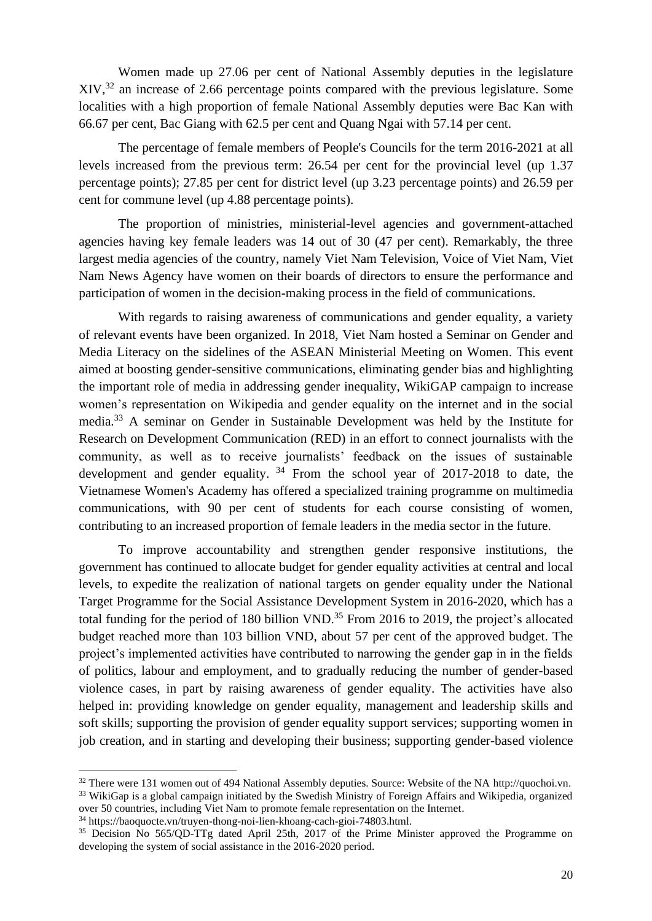Women made up 27.06 per cent of National Assembly deputies in the legislature  $XIV$ ,<sup>32</sup> an increase of 2.66 percentage points compared with the previous legislature. Some localities with a high proportion of female National Assembly deputies were Bac Kan with 66.67 per cent, Bac Giang with 62.5 per cent and Quang Ngai with 57.14 per cent.

The percentage of female members of People's Councils for the term 2016-2021 at all levels increased from the previous term: 26.54 per cent for the provincial level (up 1.37 percentage points); 27.85 per cent for district level (up 3.23 percentage points) and 26.59 per cent for commune level (up 4.88 percentage points).

The proportion of ministries, ministerial-level agencies and government-attached agencies having key female leaders was 14 out of 30 (47 per cent). Remarkably, the three largest media agencies of the country, namely Viet Nam Television, Voice of Viet Nam, Viet Nam News Agency have women on their boards of directors to ensure the performance and participation of women in the decision-making process in the field of communications.

With regards to raising awareness of communications and gender equality, a variety of relevant events have been organized. In 2018, Viet Nam hosted a Seminar on Gender and Media Literacy on the sidelines of the ASEAN Ministerial Meeting on Women. This event aimed at boosting gender-sensitive communications, eliminating gender bias and highlighting the important role of media in addressing gender inequality, WikiGAP campaign to increase women's representation on Wikipedia and gender equality on the internet and in the social media. <sup>33</sup> A seminar on Gender in Sustainable Development was held by the Institute for Research on Development Communication (RED) in an effort to connect journalists with the community, as well as to receive journalists' feedback on the issues of sustainable development and gender equality.  $34$  From the school year of 2017-2018 to date, the Vietnamese Women's Academy has offered a specialized training programme on multimedia communications, with 90 per cent of students for each course consisting of women, contributing to an increased proportion of female leaders in the media sector in the future.

To improve accountability and strengthen gender responsive institutions, the government has continued to allocate budget for gender equality activities at central and local levels, to expedite the realization of national targets on gender equality under the National Target Programme for the Social Assistance Development System in 2016-2020, which has a total funding for the period of 180 billion VND.<sup>35</sup> From 2016 to 2019, the project's allocated budget reached more than 103 billion VND, about 57 per cent of the approved budget. The project's implemented activities have contributed to narrowing the gender gap in in the fields of politics, labour and employment, and to gradually reducing the number of gender-based violence cases, in part by raising awareness of gender equality. The activities have also helped in: providing knowledge on gender equality, management and leadership skills and soft skills; supporting the provision of gender equality support services; supporting women in job creation, and in starting and developing their business; supporting gender-based violence

<sup>&</sup>lt;sup>32</sup> There were 131 women out of 494 National Assembly deputies. Source: Website of the NA [http://quochoi.vn.](http://quochoi.vn/) <sup>33</sup> WikiGap is a global campaign initiated by the Swedish Ministry of Foreign Affairs and Wikipedia, organized over 50 countries, including Viet Nam to promote female representation on the Internet.

<sup>34</sup> [https://baoquocte.vn/truyen-thong-noi-lien-khoang-cach-gioi-74803.html.](https://baoquocte.vn/truyen-thong-noi-lien-khoang-cach-gioi-74803.html)

<sup>&</sup>lt;sup>35</sup> Decision No 565/QD-TTg dated April 25th, 2017 of the Prime Minister approved the Programme on developing the system of social assistance in the 2016-2020 period.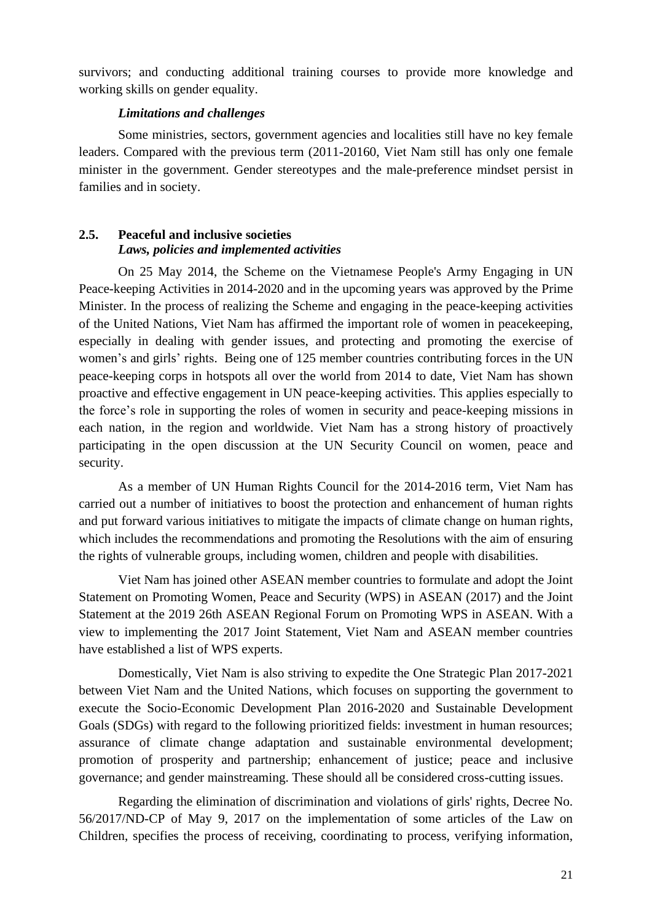survivors; and conducting additional training courses to provide more knowledge and working skills on gender equality.

## *Limitations and challenges*

Some ministries, sectors, government agencies and localities still have no key female leaders. Compared with the previous term (2011-20160, Viet Nam still has only one female minister in the government. Gender stereotypes and the male-preference mindset persist in families and in society.

# <span id="page-20-0"></span>**2.5. Peaceful and inclusive societies**  *Laws, policies and implemented activities*

On 25 May 2014, the Scheme on the Vietnamese People's Army Engaging in UN Peace-keeping Activities in 2014-2020 and in the upcoming years was approved by the Prime Minister. In the process of realizing the Scheme and engaging in the peace-keeping activities of the United Nations, Viet Nam has affirmed the important role of women in peacekeeping, especially in dealing with gender issues, and protecting and promoting the exercise of women's and girls' rights. Being one of 125 member countries contributing forces in the UN peace-keeping corps in hotspots all over the world from 2014 to date, Viet Nam has shown proactive and effective engagement in UN peace-keeping activities. This applies especially to the force's role in supporting the roles of women in security and peace-keeping missions in each nation, in the region and worldwide. Viet Nam has a strong history of proactively participating in the open discussion at the UN Security Council on women, peace and security.

As a member of UN Human Rights Council for the 2014-2016 term, Viet Nam has carried out a number of initiatives to boost the protection and enhancement of human rights and put forward various initiatives to mitigate the impacts of climate change on human rights, which includes the recommendations and promoting the Resolutions with the aim of ensuring the rights of vulnerable groups, including women, children and people with disabilities.

Viet Nam has joined other ASEAN member countries to formulate and adopt the Joint Statement on Promoting Women, Peace and Security (WPS) in ASEAN (2017) and the Joint Statement at the 2019 26th ASEAN Regional Forum on Promoting WPS in ASEAN. With a view to implementing the 2017 Joint Statement, Viet Nam and ASEAN member countries have established a list of WPS experts.

Domestically, Viet Nam is also striving to expedite the One Strategic Plan 2017-2021 between Viet Nam and the United Nations, which focuses on supporting the government to execute the Socio-Economic Development Plan 2016-2020 and Sustainable Development Goals (SDGs) with regard to the following prioritized fields: investment in human resources; assurance of climate change adaptation and sustainable environmental development; promotion of prosperity and partnership; enhancement of justice; peace and inclusive governance; and gender mainstreaming. These should all be considered cross-cutting issues.

Regarding the elimination of discrimination and violations of girls' rights, Decree No. 56/2017/ND-CP of May 9, 2017 on the implementation of some articles of the Law on Children, specifies the process of receiving, coordinating to process, verifying information,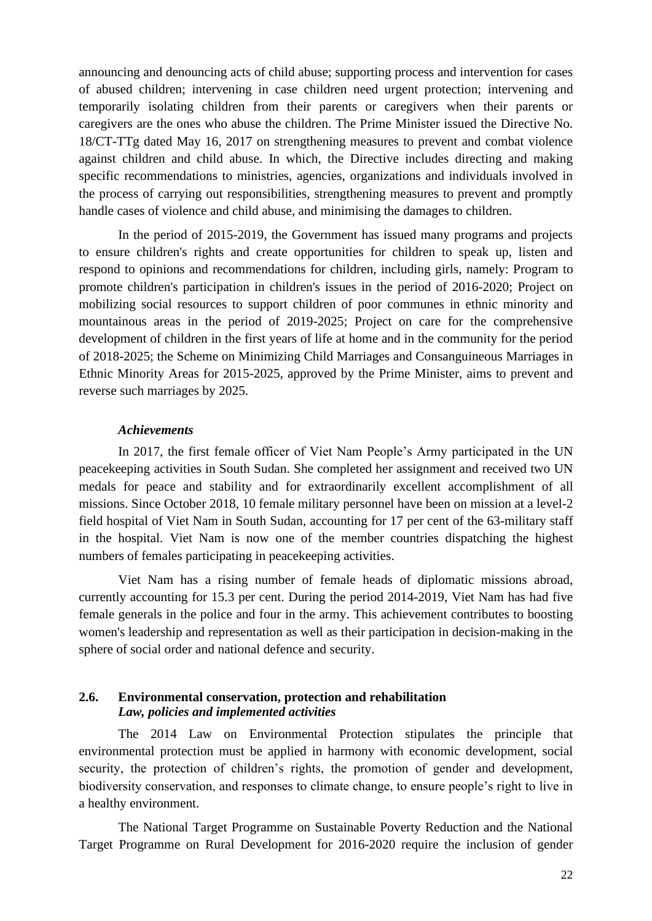announcing and denouncing acts of child abuse; supporting process and intervention for cases of abused children; intervening in case children need urgent protection; intervening and temporarily isolating children from their parents or caregivers when their parents or caregivers are the ones who abuse the children. The Prime Minister issued the Directive No. 18/CT-TTg dated May 16, 2017 on strengthening measures to prevent and combat violence against children and child abuse. In which, the Directive includes directing and making specific recommendations to ministries, agencies, organizations and individuals involved in the process of carrying out responsibilities, strengthening measures to prevent and promptly handle cases of violence and child abuse, and minimising the damages to children.

In the period of 2015-2019, the Government has issued many programs and projects to ensure children's rights and create opportunities for children to speak up, listen and respond to opinions and recommendations for children, including girls, namely: Program to promote children's participation in children's issues in the period of 2016-2020; Project on mobilizing social resources to support children of poor communes in ethnic minority and mountainous areas in the period of 2019-2025; Project on care for the comprehensive development of children in the first years of life at home and in the community for the period of 2018-2025; the Scheme on Minimizing Child Marriages and Consanguineous Marriages in Ethnic Minority Areas for 2015-2025, approved by the Prime Minister, aims to prevent and reverse such marriages by 2025.

#### *Achievements*

In 2017, the first female officer of Viet Nam People's Army participated in the UN peacekeeping activities in South Sudan. She completed her assignment and received two UN medals for peace and stability and for extraordinarily excellent accomplishment of all missions. Since October 2018, 10 female military personnel have been on mission at a level-2 field hospital of Viet Nam in South Sudan, accounting for 17 per cent of the 63-military staff in the hospital. Viet Nam is now one of the member countries dispatching the highest numbers of females participating in peacekeeping activities.

Viet Nam has a rising number of female heads of diplomatic missions abroad, currently accounting for 15.3 per cent. During the period 2014-2019, Viet Nam has had five female generals in the police and four in the army. This achievement contributes to boosting women's leadership and representation as well as their participation in decision-making in the sphere of social order and national defence and security.

## <span id="page-21-0"></span>**2.6. Environmental conservation, protection and rehabilitation** *Law, policies and implemented activities*

The 2014 Law on Environmental Protection stipulates the principle that environmental protection must be applied in harmony with economic development, social security, the protection of children's rights, the promotion of gender and development, biodiversity conservation, and responses to climate change, to ensure people's right to live in a healthy environment.

The National Target Programme on Sustainable Poverty Reduction and the National Target Programme on Rural Development for 2016-2020 require the inclusion of gender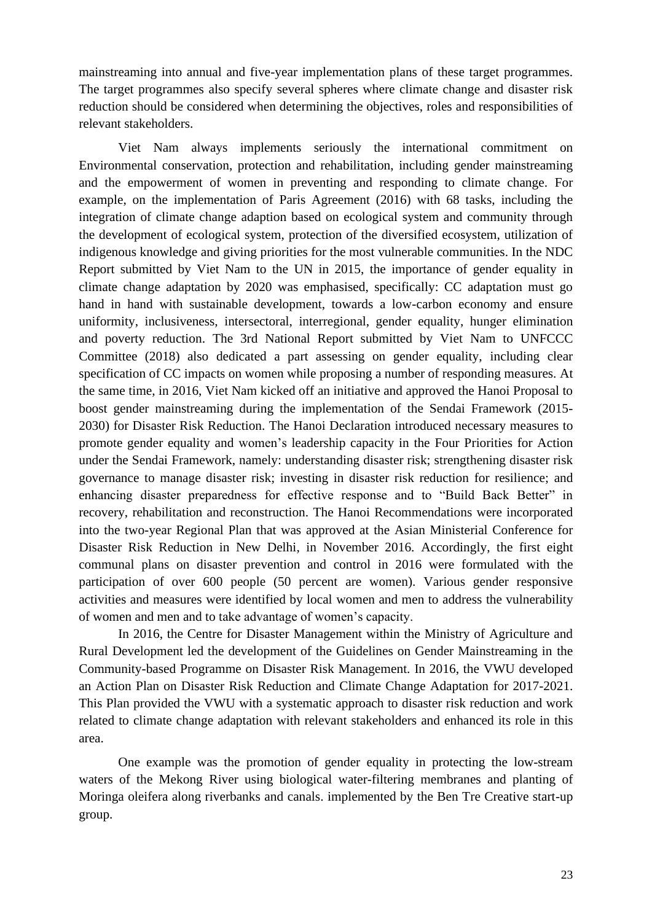mainstreaming into annual and five-year implementation plans of these target programmes. The target programmes also specify several spheres where climate change and disaster risk reduction should be considered when determining the objectives, roles and responsibilities of relevant stakeholders.

Viet Nam always implements seriously the international commitment on Environmental conservation, protection and rehabilitation, including gender mainstreaming and the empowerment of women in preventing and responding to climate change. For example, on the implementation of Paris Agreement (2016) with 68 tasks, including the integration of climate change adaption based on ecological system and community through the development of ecological system, protection of the diversified ecosystem, utilization of indigenous knowledge and giving priorities for the most vulnerable communities. In the NDC Report submitted by Viet Nam to the UN in 2015, the importance of gender equality in climate change adaptation by 2020 was emphasised, specifically: CC adaptation must go hand in hand with sustainable development, towards a low-carbon economy and ensure uniformity, inclusiveness, intersectoral, interregional, gender equality, hunger elimination and poverty reduction. The 3rd National Report submitted by Viet Nam to UNFCCC Committee (2018) also dedicated a part assessing on gender equality, including clear specification of CC impacts on women while proposing a number of responding measures. At the same time, in 2016, Viet Nam kicked off an initiative and approved the Hanoi Proposal to boost gender mainstreaming during the implementation of the Sendai Framework (2015- 2030) for Disaster Risk Reduction. The Hanoi Declaration introduced necessary measures to promote gender equality and women's leadership capacity in the Four Priorities for Action under the Sendai Framework, namely: understanding disaster risk; strengthening disaster risk governance to manage disaster risk; investing in disaster risk reduction for resilience; and enhancing disaster preparedness for effective response and to "Build Back Better" in recovery, rehabilitation and reconstruction. The Hanoi Recommendations were incorporated into the two-year Regional Plan that was approved at the Asian Ministerial Conference for Disaster Risk Reduction in New Delhi, in November 2016. Accordingly, the first eight communal plans on disaster prevention and control in 2016 were formulated with the participation of over 600 people (50 percent are women). Various gender responsive activities and measures were identified by local women and men to address the vulnerability of women and men and to take advantage of women's capacity.

In 2016, the Centre for Disaster Management within the Ministry of Agriculture and Rural Development led the development of the Guidelines on Gender Mainstreaming in the Community-based Programme on Disaster Risk Management. In 2016, the VWU developed an Action Plan on Disaster Risk Reduction and Climate Change Adaptation for 2017-2021. This Plan provided the VWU with a systematic approach to disaster risk reduction and work related to climate change adaptation with relevant stakeholders and enhanced its role in this area.

One example was the promotion of gender equality in protecting the low-stream waters of the Mekong River using biological water-filtering membranes and planting of Moringa oleifera along riverbanks and canals. implemented by the Ben Tre Creative start-up group.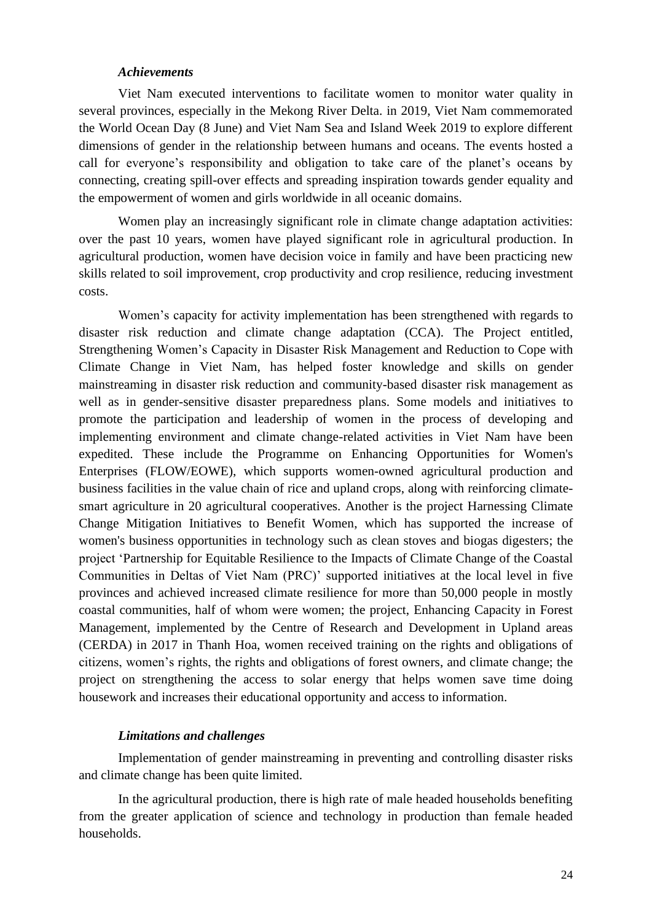#### *Achievements*

Viet Nam executed interventions to facilitate women to monitor water quality in several provinces, especially in the Mekong River Delta. in 2019, Viet Nam commemorated the World Ocean Day (8 June) and Viet Nam Sea and Island Week 2019 to explore different dimensions of gender in the relationship between humans and oceans. The events hosted a call for everyone's responsibility and obligation to take care of the planet's oceans by connecting, creating spill-over effects and spreading inspiration towards gender equality and the empowerment of women and girls worldwide in all oceanic domains.

Women play an increasingly significant role in climate change adaptation activities: over the past 10 years, women have played significant role in agricultural production. In agricultural production, women have decision voice in family and have been practicing new skills related to soil improvement, crop productivity and crop resilience, reducing investment costs.

Women's capacity for activity implementation has been strengthened with regards to disaster risk reduction and climate change adaptation (CCA). The Project entitled, Strengthening Women's Capacity in Disaster Risk Management and Reduction to Cope with Climate Change in Viet Nam, has helped foster knowledge and skills on gender mainstreaming in disaster risk reduction and community-based disaster risk management as well as in gender-sensitive disaster preparedness plans. Some models and initiatives to promote the participation and leadership of women in the process of developing and implementing environment and climate change-related activities in Viet Nam have been expedited. These include the Programme on Enhancing Opportunities for Women's Enterprises (FLOW/EOWE), which supports women-owned agricultural production and business facilities in the value chain of rice and upland crops, along with reinforcing climatesmart agriculture in 20 agricultural cooperatives. Another is the project Harnessing Climate Change Mitigation Initiatives to Benefit Women, which has supported the increase of women's business opportunities in technology such as clean stoves and biogas digesters; the project 'Partnership for Equitable Resilience to the Impacts of Climate Change of the Coastal Communities in Deltas of Viet Nam (PRC)' supported initiatives at the local level in five provinces and achieved increased climate resilience for more than 50,000 people in mostly coastal communities, half of whom were women; the project, Enhancing Capacity in Forest Management, implemented by the Centre of Research and Development in Upland areas (CERDA) in 2017 in Thanh Hoa, women received training on the rights and obligations of citizens, women's rights, the rights and obligations of forest owners, and climate change; the project on strengthening the access to solar energy that helps women save time doing housework and increases their educational opportunity and access to information.

### *Limitations and challenges*

Implementation of gender mainstreaming in preventing and controlling disaster risks and climate change has been quite limited.

In the agricultural production, there is high rate of male headed households benefiting from the greater application of science and technology in production than female headed households.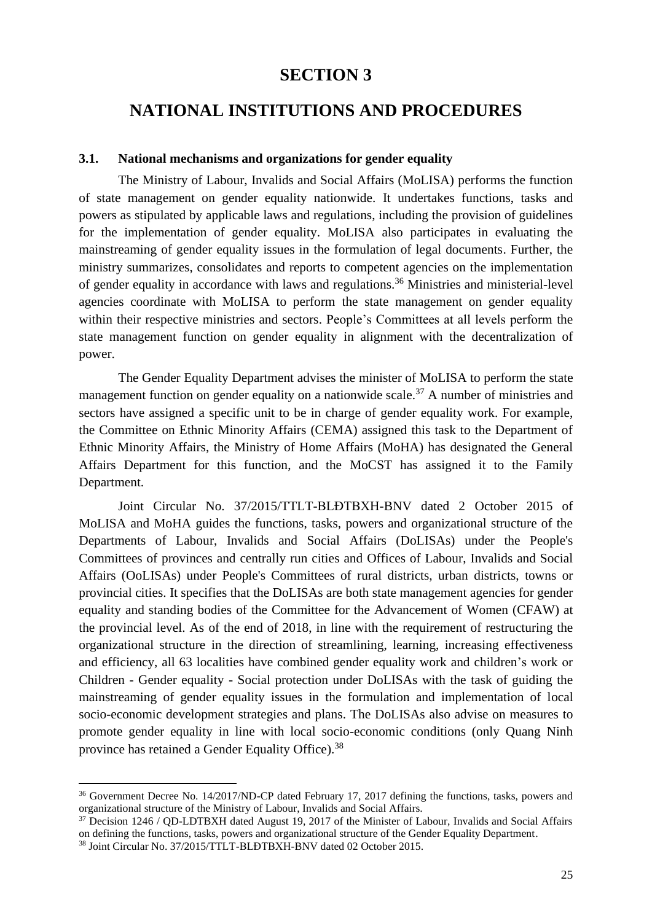# **SECTION 3**

# <span id="page-24-0"></span>**NATIONAL INSTITUTIONS AND PROCEDURES**

#### <span id="page-24-1"></span>**3.1. National mechanisms and organizations for gender equality**

The Ministry of Labour, Invalids and Social Affairs (MoLISA) performs the function of state management on gender equality nationwide. It undertakes functions, tasks and powers as stipulated by applicable laws and regulations, including the provision of guidelines for the implementation of gender equality. MoLISA also participates in evaluating the mainstreaming of gender equality issues in the formulation of legal documents. Further, the ministry summarizes, consolidates and reports to competent agencies on the implementation of gender equality in accordance with laws and regulations. <sup>36</sup> Ministries and ministerial-level agencies coordinate with MoLISA to perform the state management on gender equality within their respective ministries and sectors. People's Committees at all levels perform the state management function on gender equality in alignment with the decentralization of power.

The Gender Equality Department advises the minister of MoLISA to perform the state management function on gender equality on a nationwide scale.<sup>37</sup> A number of ministries and sectors have assigned a specific unit to be in charge of gender equality work. For example, the Committee on Ethnic Minority Affairs (CEMA) assigned this task to the Department of Ethnic Minority Affairs, the Ministry of Home Affairs (MoHA) has designated the General Affairs Department for this function, and the MoCST has assigned it to the Family Department.

Joint Circular No. 37/2015/TTLT-BLĐTBXH-BNV dated 2 October 2015 of MoLISA and MoHA guides the functions, tasks, powers and organizational structure of the Departments of Labour, Invalids and Social Affairs (DoLISAs) under the People's Committees of provinces and centrally run cities and Offices of Labour, Invalids and Social Affairs (OoLISAs) under People's Committees of rural districts, urban districts, towns or provincial cities. It specifies that the DoLISAs are both state management agencies for gender equality and standing bodies of the Committee for the Advancement of Women (CFAW) at the provincial level. As of the end of 2018, in line with the requirement of restructuring the organizational structure in the direction of streamlining, learning, increasing effectiveness and efficiency, all 63 localities have combined gender equality work and children's work or Children - Gender equality - Social protection under DoLISAs with the task of guiding the mainstreaming of gender equality issues in the formulation and implementation of local socio-economic development strategies and plans. The DoLISAs also advise on measures to promote gender equality in line with local socio-economic conditions (only Quang Ninh province has retained a Gender Equality Office).<sup>38</sup>

<sup>&</sup>lt;sup>36</sup> Government Decree No. 14/2017/ND-CP dated February 17, 2017 defining the functions, tasks, powers and organizational structure of the Ministry of Labour, Invalids and Social Affairs.

<sup>&</sup>lt;sup>37</sup> Decision 1246 / QD-LDTBXH dated August 19, 2017 of the Minister of Labour, Invalids and Social Affairs on defining the functions, tasks, powers and organizational structure of the Gender Equality Department.

<sup>38</sup> Joint Circular No. 37/2015/TTLT-BLĐTBXH-BNV dated 02 October 2015.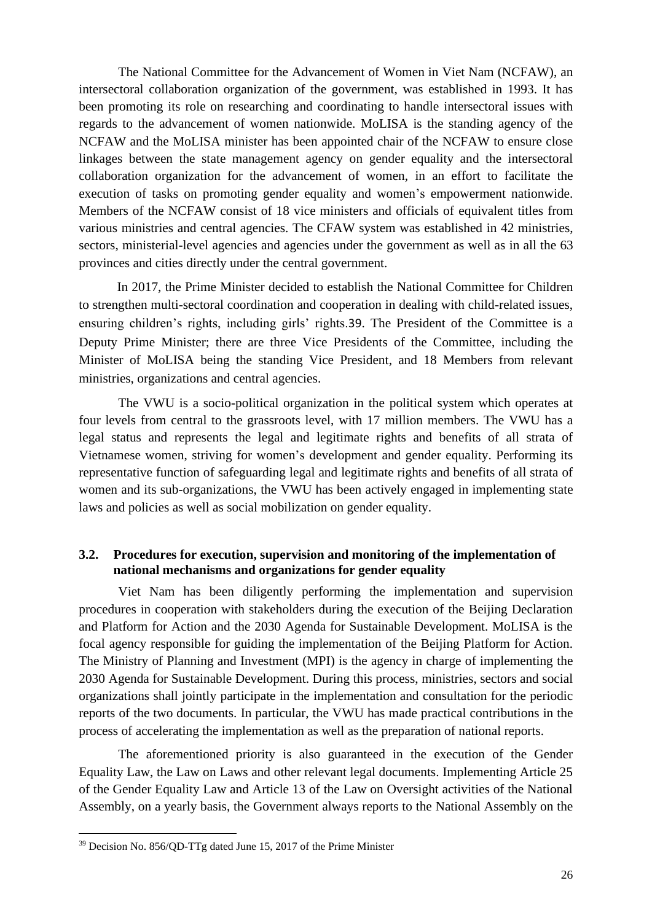The National Committee for the Advancement of Women in Viet Nam (NCFAW), an intersectoral collaboration organization of the government, was established in 1993. It has been promoting its role on researching and coordinating to handle intersectoral issues with regards to the advancement of women nationwide. MoLISA is the standing agency of the NCFAW and the MoLISA minister has been appointed chair of the NCFAW to ensure close linkages between the state management agency on gender equality and the intersectoral collaboration organization for the advancement of women, in an effort to facilitate the execution of tasks on promoting gender equality and women's empowerment nationwide. Members of the NCFAW consist of 18 vice ministers and officials of equivalent titles from various ministries and central agencies. The CFAW system was established in 42 ministries, sectors, ministerial-level agencies and agencies under the government as well as in all the 63 provinces and cities directly under the central government.

In 2017, the Prime Minister decided to establish the National Committee for Children to strengthen multi-sectoral coordination and cooperation in dealing with child-related issues, ensuring children's rights, including girls' rights.39. The President of the Committee is a Deputy Prime Minister; there are three Vice Presidents of the Committee, including the Minister of MoLISA being the standing Vice President, and 18 Members from relevant ministries, organizations and central agencies.

The VWU is a socio-political organization in the political system which operates at four levels from central to the grassroots level, with 17 million members. The VWU has a legal status and represents the legal and legitimate rights and benefits of all strata of Vietnamese women, striving for women's development and gender equality. Performing its representative function of safeguarding legal and legitimate rights and benefits of all strata of women and its sub-organizations, the VWU has been actively engaged in implementing state laws and policies as well as social mobilization on gender equality.

## <span id="page-25-0"></span>**3.2. Procedures for execution, supervision and monitoring of the implementation of national mechanisms and organizations for gender equality**

Viet Nam has been diligently performing the implementation and supervision procedures in cooperation with stakeholders during the execution of the Beijing Declaration and Platform for Action and the 2030 Agenda for Sustainable Development. MoLISA is the focal agency responsible for guiding the implementation of the Beijing Platform for Action. The Ministry of Planning and Investment (MPI) is the agency in charge of implementing the 2030 Agenda for Sustainable Development. During this process, ministries, sectors and social organizations shall jointly participate in the implementation and consultation for the periodic reports of the two documents. In particular, the VWU has made practical contributions in the process of accelerating the implementation as well as the preparation of national reports.

The aforementioned priority is also guaranteed in the execution of the Gender Equality Law, the Law on Laws and other relevant legal documents. Implementing Article 25 of the Gender Equality Law and Article 13 of the Law on Oversight activities of the National Assembly, on a yearly basis, the Government always reports to the National Assembly on the

<sup>39</sup> Decision No. 856/QD-TTg dated June 15, 2017 of the Prime Minister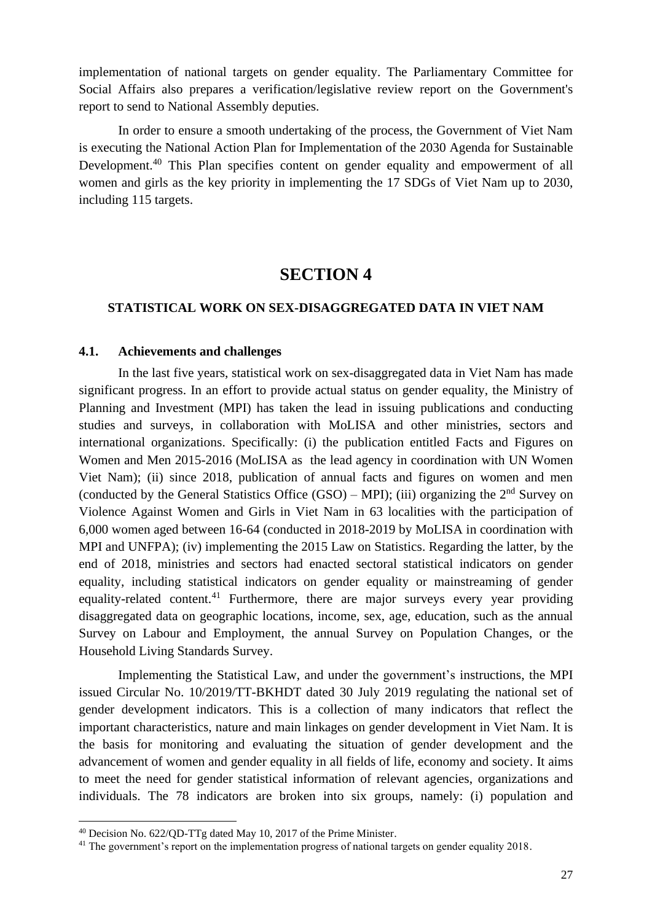implementation of national targets on gender equality. The Parliamentary Committee for Social Affairs also prepares a verification/legislative review report on the Government's report to send to National Assembly deputies.

In order to ensure a smooth undertaking of the process, the Government of Viet Nam is executing the National Action Plan for Implementation of the 2030 Agenda for Sustainable Development.<sup>40</sup> This Plan specifies content on gender equality and empowerment of all women and girls as the key priority in implementing the 17 SDGs of Viet Nam up to 2030, including 115 targets.

# **SECTION 4**

## <span id="page-26-0"></span>**STATISTICAL WORK ON SEX-DISAGGREGATED DATA IN VIET NAM**

#### <span id="page-26-1"></span>**4.1. Achievements and challenges**

In the last five years, statistical work on sex-disaggregated data in Viet Nam has made significant progress. In an effort to provide actual status on gender equality, the Ministry of Planning and Investment (MPI) has taken the lead in issuing publications and conducting studies and surveys, in collaboration with MoLISA and other ministries, sectors and international organizations. Specifically: (i) the publication entitled Facts and Figures on Women and Men 2015-2016 (MoLISA as the lead agency in coordination with UN Women Viet Nam); (ii) since 2018, publication of annual facts and figures on women and men (conducted by the General Statistics Office  $(GSO) - MPI$ ); (iii) organizing the  $2<sup>nd</sup>$  Survey on Violence Against Women and Girls in Viet Nam in 63 localities with the participation of 6,000 women aged between 16-64 (conducted in 2018-2019 by MoLISA in coordination with MPI and UNFPA); (iv) implementing the 2015 Law on Statistics. Regarding the latter, by the end of 2018, ministries and sectors had enacted sectoral statistical indicators on gender equality, including statistical indicators on gender equality or mainstreaming of gender equality-related content.<sup>41</sup> Furthermore, there are major surveys every year providing disaggregated data on geographic locations, income, sex, age, education, such as the annual Survey on Labour and Employment, the annual Survey on Population Changes, or the Household Living Standards Survey.

Implementing the Statistical Law, and under the government's instructions, the MPI issued Circular No. 10/2019/TT-BKHDT dated 30 July 2019 regulating the national set of gender development indicators. This is a collection of many indicators that reflect the important characteristics, nature and main linkages on gender development in Viet Nam. It is the basis for monitoring and evaluating the situation of gender development and the advancement of women and gender equality in all fields of life, economy and society. It aims to meet the need for gender statistical information of relevant agencies, organizations and individuals. The 78 indicators are broken into six groups, namely: (i) population and

<sup>40</sup> Decision No. 622/QD-TTg dated May 10, 2017 of the Prime Minister.

<sup>&</sup>lt;sup>41</sup> The government's report on the implementation progress of national targets on gender equality 2018.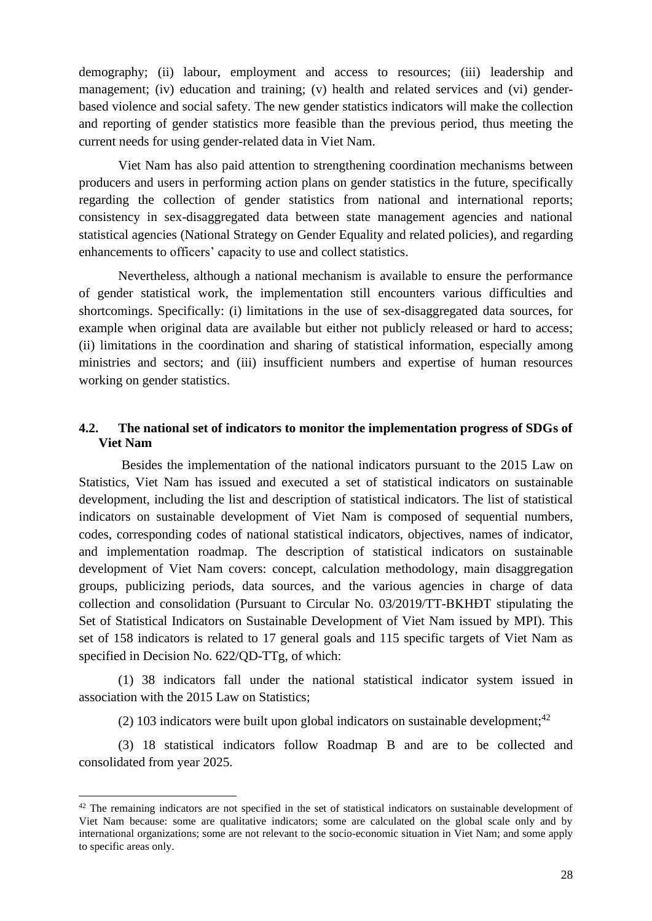demography; (ii) labour, employment and access to resources; (iii) leadership and management; (iv) education and training; (v) health and related services and (vi) genderbased violence and social safety. The new gender statistics indicators will make the collection and reporting of gender statistics more feasible than the previous period, thus meeting the current needs for using gender-related data in Viet Nam.

Viet Nam has also paid attention to strengthening coordination mechanisms between producers and users in performing action plans on gender statistics in the future, specifically regarding the collection of gender statistics from national and international reports; consistency in sex-disaggregated data between state management agencies and national statistical agencies (National Strategy on Gender Equality and related policies), and regarding enhancements to officers' capacity to use and collect statistics.

Nevertheless, although a national mechanism is available to ensure the performance of gender statistical work, the implementation still encounters various difficulties and shortcomings. Specifically: (i) limitations in the use of sex-disaggregated data sources, for example when original data are available but either not publicly released or hard to access; (ii) limitations in the coordination and sharing of statistical information, especially among ministries and sectors; and (iii) insufficient numbers and expertise of human resources working on gender statistics.

# <span id="page-27-0"></span>**4.2. The national set of indicators to monitor the implementation progress of SDGs of Viet Nam**

Besides the implementation of the national indicators pursuant to the 2015 Law on Statistics, Viet Nam has issued and executed a set of statistical indicators on sustainable development, including the list and description of statistical indicators. The list of statistical indicators on sustainable development of Viet Nam is composed of sequential numbers, codes, corresponding codes of national statistical indicators, objectives, names of indicator, and implementation roadmap. The description of statistical indicators on sustainable development of Viet Nam covers: concept, calculation methodology, main disaggregation groups, publicizing periods, data sources, and the various agencies in charge of data collection and consolidation (Pursuant to Circular No. 03/2019/TT-BKHĐT stipulating the Set of Statistical Indicators on Sustainable Development of Viet Nam issued by MPI). This set of 158 indicators is related to 17 general goals and 115 specific targets of Viet Nam as specified in Decision No. 622/QD-TTg, of which:

(1) 38 indicators fall under the national statistical indicator system issued in association with the 2015 Law on Statistics;

(2) 103 indicators were built upon global indicators on sustainable development; $42$ 

(3) 18 statistical indicators follow Roadmap B and are to be collected and consolidated from year 2025.

 $42$  The remaining indicators are not specified in the set of statistical indicators on sustainable development of Viet Nam because: some are qualitative indicators; some are calculated on the global scale only and by international organizations; some are not relevant to the socio-economic situation in Viet Nam; and some apply to specific areas only.